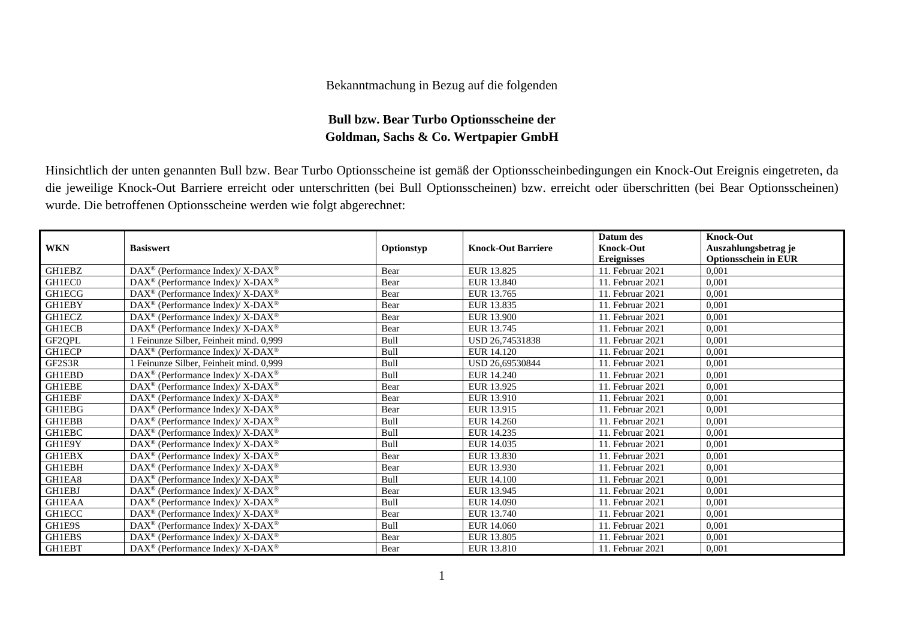## Bekanntmachung in Bezug auf die folgenden

## **Bull bzw. Bear Turbo Optionsscheine der Goldman, Sachs & Co. Wertpapier GmbH**

Hinsichtlich der unten genannten Bull bzw. Bear Turbo Optionsscheine ist gemäß der Optionsscheinbedingungen ein Knock-Out Ereignis eingetreten, da die jeweilige Knock-Out Barriere erreicht oder unterschritten (bei Bull Optionsscheinen) bzw. erreicht oder überschritten (bei Bear Optionsscheinen) wurde. Die betroffenen Optionsscheine werden wie folgt abgerechnet:

|               |                                                                  |            |                           | Datum des          | <b>Knock-Out</b>            |
|---------------|------------------------------------------------------------------|------------|---------------------------|--------------------|-----------------------------|
| <b>WKN</b>    | <b>Basiswert</b>                                                 | Optionstyp | <b>Knock-Out Barriere</b> | <b>Knock-Out</b>   | Auszahlungsbetrag je        |
|               |                                                                  |            |                           | <b>Ereignisses</b> | <b>Optionsschein in EUR</b> |
| <b>GH1EBZ</b> | $DAX^{\circledast}$ (Performance Index)/ X-DAX <sup>®</sup>      | Bear       | EUR 13.825                | 11. Februar 2021   | 0,001                       |
| GH1EC0        | DAX <sup>®</sup> (Performance Index)/X-DAX <sup>®</sup>          | Bear       | EUR 13.840                | 11. Februar 2021   | 0,001                       |
| <b>GH1ECG</b> | DAX <sup>®</sup> (Performance Index)/X-DAX <sup>®</sup>          | Bear       | EUR 13.765                | 11. Februar 2021   | 0,001                       |
| <b>GH1EBY</b> | $DAX^{\circledast}$ (Performance Index)/X-DAX <sup>®</sup>       | Bear       | EUR 13.835                | 11. Februar 2021   | 0,001                       |
| <b>GH1ECZ</b> | $DAX^{\circledast}$ (Performance Index)/ X-DAX <sup>®</sup>      | Bear       | EUR 13.900                | 11. Februar 2021   | 0,001                       |
| <b>GH1ECB</b> | DAX <sup>®</sup> (Performance Index)/X-DAX <sup>®</sup>          | Bear       | EUR 13.745                | 11. Februar 2021   | 0,001                       |
| GF2QPL        | Feinunze Silber, Feinheit mind. 0,999                            | Bull       | USD 26,74531838           | 11. Februar 2021   | 0,001                       |
| <b>GH1ECP</b> | $DAX^{\circledast}$ (Performance Index)/X-DAX <sup>®</sup>       | Bull       | EUR 14.120                | 11. Februar 2021   | 0,001                       |
| GF2S3R        | Feinunze Silber, Feinheit mind. 0,999                            | Bull       | USD 26.69530844           | 11. Februar 2021   | 0,001                       |
| GH1EBD        | $DAX^{\circledast}$ (Performance Index)/X-DAX <sup>®</sup>       | Bull       | EUR 14.240                | 11. Februar 2021   | 0,001                       |
| <b>GH1EBE</b> | $\text{DAX}^{\otimes}$ (Performance Index)/X-DAX <sup>®</sup>    | Bear       | EUR 13.925                | 11. Februar 2021   | 0.001                       |
| <b>GH1EBF</b> | $DAX^{\circledcirc}$ (Performance Index)/X-DAX <sup>®</sup>      | Bear       | EUR 13.910                | 11. Februar 2021   | 0,001                       |
| GH1EBG        | $DAX^{\circledast}$ (Performance Index)/ X-DAX <sup>®</sup>      | Bear       | EUR 13.915                | 11. Februar 2021   | 0,001                       |
| <b>GH1EBB</b> | $\text{DAX}^{\otimes}$ (Performance Index)/X-DAX <sup>®</sup>    | Bull       | EUR 14.260                | 11. Februar 2021   | 0,001                       |
| <b>GH1EBC</b> | DAX <sup>®</sup> (Performance Index)/X-DAX <sup>®</sup>          | Bull       | EUR 14.235                | 11. Februar 2021   | 0,001                       |
| GH1E9Y        | $DAX^{\circledast}$ (Performance Index)/ X-DAX <sup>®</sup>      | Bull       | EUR 14.035                | 11. Februar 2021   | 0,001                       |
| <b>GH1EBX</b> | $DAX^{\circledast}$ (Performance Index)/X-DAX <sup>®</sup>       | Bear       | EUR 13.830                | 11. Februar 2021   | 0,001                       |
| GH1EBH        | $DAX^{\circledast}$ (Performance Index)/ X-DAX <sup>®</sup>      | Bear       | EUR 13.930                | 11. Februar 2021   | 0,001                       |
| GH1EA8        | $DAX^{\circledast}$ (Performance Index)/ X-DAX <sup>®</sup>      | Bull       | <b>EUR 14.100</b>         | 11. Februar 2021   | 0,001                       |
| <b>GH1EBJ</b> | $DAX^{\omega}$ (Performance Index)/X-DAX <sup>®</sup>            | Bear       | EUR 13.945                | 11. Februar 2021   | 0,001                       |
| GH1EAA        | $\text{DAX}^{\circledR}$ (Performance Index)/ X-DAX <sup>®</sup> | Bull       | EUR 14.090                | 11. Februar 2021   | 0,001                       |
| <b>GH1ECC</b> | $DAX^{\circledast}$ (Performance Index)/ X-DAX <sup>®</sup>      | Bear       | EUR 13.740                | 11. Februar 2021   | 0,001                       |
| GH1E9S        | $DAX^{\circledast}$ (Performance Index)/ X-DAX <sup>®</sup>      | Bull       | EUR 14.060                | 11. Februar 2021   | 0,001                       |
| GH1EBS        | $DAX^{\circledast}$ (Performance Index)/ X-DAX <sup>®</sup>      | Bear       | EUR 13.805                | 11. Februar 2021   | 0,001                       |
| <b>GH1EBT</b> | DAX <sup>®</sup> (Performance Index)/ X-DAX <sup>®</sup>         | Bear       | EUR 13.810                | 11. Februar 2021   | 0,001                       |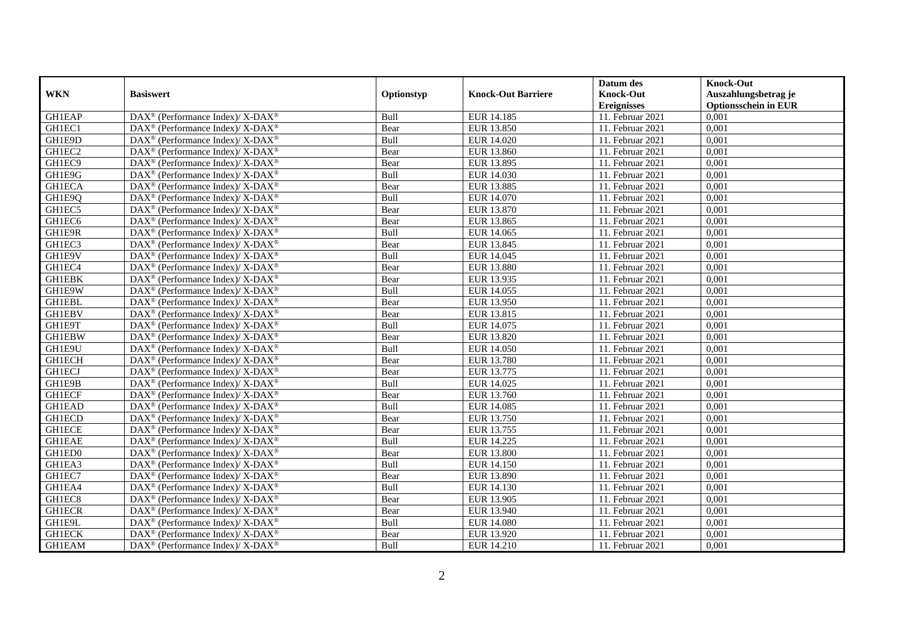|               |                                                                    |            |                           | Datum des          | <b>Knock-Out</b>            |
|---------------|--------------------------------------------------------------------|------------|---------------------------|--------------------|-----------------------------|
| <b>WKN</b>    | <b>Basiswert</b>                                                   | Optionstyp | <b>Knock-Out Barriere</b> | <b>Knock-Out</b>   | Auszahlungsbetrag je        |
|               |                                                                    |            |                           | <b>Ereignisses</b> | <b>Optionsschein in EUR</b> |
| <b>GH1EAP</b> | DAX <sup>®</sup> (Performance Index)/ X-DAX <sup>®</sup>           | Bull       | EUR 14.185                | 11. Februar 2021   | 0,001                       |
| GH1EC1        | $DAX^{\circledast}$ (Performance Index)/ X-DAX <sup>®</sup>        | Bear       | EUR 13.850                | 11. Februar 2021   | 0,001                       |
| GH1E9D        | DAX <sup>®</sup> (Performance Index)/X-DAX <sup>®</sup>            | Bull       | EUR 14.020                | 11. Februar 2021   | 0,001                       |
| GH1EC2        | $DAX^{\circledast}$ (Performance Index)/ X-DAX <sup>®</sup>        | Bear       | EUR 13.860                | 11. Februar 2021   | 0,001                       |
| GH1EC9        | DAX <sup>®</sup> (Performance Index)/X-DAX <sup>®</sup>            | Bear       | EUR 13.895                | 11. Februar 2021   | 0,001                       |
| GH1E9G        | DAX <sup>®</sup> (Performance Index)/ X-DAX <sup>®</sup>           | Bull       | EUR 14.030                | 11. Februar 2021   | 0,001                       |
| <b>GH1ECA</b> | DAX <sup>®</sup> (Performance Index)/ X-DAX <sup>®</sup>           | Bear       | EUR 13.885                | 11. Februar 2021   | 0,001                       |
| GH1E9Q        | $DAX^{\circledast}$ (Performance Index)/ X-DAX <sup>®</sup>        | Bull       | EUR 14.070                | 11. Februar 2021   | 0,001                       |
| GH1EC5        | DAX <sup>®</sup> (Performance Index)/ X-DAX <sup>®</sup>           | Bear       | EUR 13.870                | 11. Februar 2021   | 0,001                       |
| GH1EC6        | DAX <sup>®</sup> (Performance Index)/ X-DAX <sup>®</sup>           | Bear       | EUR 13.865                | 11. Februar 2021   | 0,001                       |
| GH1E9R        | DAX <sup>®</sup> (Performance Index)/ X-DAX <sup>®</sup>           | Bull       | EUR 14.065                | 11. Februar 2021   | 0,001                       |
| GH1EC3        | DAX <sup>®</sup> (Performance Index)/ X-DAX <sup>®</sup>           | Bear       | EUR 13.845                | 11. Februar 2021   | 0,001                       |
| GH1E9V        | $DAX^{\circledast}$ (Performance Index)/ X-DAX <sup>®</sup>        | Bull       | EUR 14.045                | 11. Februar 2021   | 0,001                       |
| GH1EC4        | DAX <sup>®</sup> (Performance Index)/X-DAX <sup>®</sup>            | Bear       | <b>EUR 13.880</b>         | 11. Februar 2021   | 0,001                       |
| <b>GH1EBK</b> | DAX <sup>®</sup> (Performance Index)/ X-DAX <sup>®</sup>           | Bear       | EUR 13.935                | 11. Februar 2021   | 0,001                       |
| GH1E9W        | DAX <sup>®</sup> (Performance Index)/ X-DAX <sup>®</sup>           | Bull       | EUR 14.055                | 11. Februar 2021   | 0,001                       |
| <b>GH1EBL</b> | DAX <sup>®</sup> (Performance Index)/ X-DAX <sup>®</sup>           | Bear       | EUR 13.950                | 11. Februar 2021   | 0,001                       |
| <b>GH1EBV</b> | $DAX^{\circledast}$ (Performance Index)/ X-DAX <sup>®</sup>        | Bear       | EUR 13.815                | 11. Februar 2021   | 0,001                       |
| GH1E9T        | $DAX^{\circledast}$ (Performance Index)/ X-DAX <sup>®</sup>        | Bull       | EUR 14.075                | 11. Februar 2021   | 0,001                       |
| <b>GH1EBW</b> | DAX <sup>®</sup> (Performance Index)/X-DAX <sup>®</sup>            | Bear       | EUR 13.820                | 11. Februar 2021   | 0,001                       |
| GH1E9U        | DAX <sup>®</sup> (Performance Index)/X-DAX <sup>®</sup>            | Bull       | <b>EUR 14.050</b>         | 11. Februar 2021   | 0,001                       |
| <b>GH1ECH</b> | $\text{DAX}^{\circledast}$ (Performance Index)/ X-DAX <sup>®</sup> | Bear       | EUR 13.780                | 11. Februar 2021   | 0,001                       |
| <b>GH1ECJ</b> | DAX <sup>®</sup> (Performance Index)/ X-DAX <sup>®</sup>           | Bear       | EUR 13.775                | 11. Februar 2021   | 0,001                       |
| GH1E9B        | $DAX^{\circledast}$ (Performance Index)/ X-DAX <sup>®</sup>        | Bull       | EUR 14.025                | 11. Februar 2021   | 0,001                       |
| <b>GH1ECF</b> | DAX <sup>®</sup> (Performance Index)/ X-DAX <sup>®</sup>           | Bear       | EUR 13.760                | 11. Februar 2021   | 0.001                       |
| <b>GH1EAD</b> | $DAX^{\circledast}$ (Performance Index)/ X-DAX <sup>®</sup>        | Bull       | EUR 14.085                | 11. Februar 2021   | 0,001                       |
| <b>GH1ECD</b> | DAX <sup>®</sup> (Performance Index)/ X-DAX <sup>®</sup>           | Bear       | EUR 13.750                | 11. Februar 2021   | 0,001                       |
| <b>GH1ECE</b> | DAX <sup>®</sup> (Performance Index)/ X-DAX <sup>®</sup>           | Bear       | EUR 13.755                | 11. Februar 2021   | 0,001                       |
| <b>GH1EAE</b> | DAX <sup>®</sup> (Performance Index)/ X-DAX <sup>®</sup>           | Bull       | EUR 14.225                | 11. Februar 2021   | 0,001                       |
| GH1ED0        | $\text{DAX}^{\circledast}$ (Performance Index)/ X-DAX <sup>®</sup> | Bear       | <b>EUR 13.800</b>         | 11. Februar 2021   | 0,001                       |
| GH1EA3        | $DAX^{\circledast}$ (Performance Index)/ X-DAX <sup>®</sup>        | Bull       | EUR 14.150                | 11. Februar 2021   | 0,001                       |
| GH1EC7        | DAX <sup>®</sup> (Performance Index)/X-DAX <sup>®</sup>            | Bear       | EUR 13.890                | 11. Februar 2021   | 0,001                       |
| GH1EA4        | $DAX^{\circledast}$ (Performance Index)/ X-DAX <sup>®</sup>        | Bull       | EUR 14.130                | 11. Februar 2021   | 0,001                       |
| GH1EC8        | DAX <sup>®</sup> (Performance Index)/ X-DAX <sup>®</sup>           | Bear       | EUR 13.905                | 11. Februar 2021   | 0,001                       |
| <b>GH1ECR</b> | DAX <sup>®</sup> (Performance Index)/ X-DAX <sup>®</sup>           | Bear       | EUR 13.940                | 11. Februar 2021   | 0,001                       |
| GH1E9L        | $\text{DAX}^{\circledast}$ (Performance Index)/ X-DAX <sup>®</sup> | Bull       | <b>EUR 14.080</b>         | 11. Februar 2021   | 0,001                       |
| <b>GH1ECK</b> | DAX <sup>®</sup> (Performance Index)/ X-DAX <sup>®</sup>           | Bear       | EUR 13.920                | 11. Februar 2021   | 0,001                       |
| <b>GH1EAM</b> | DAX <sup>®</sup> (Performance Index)/ X-DAX <sup>®</sup>           | Bull       | EUR 14.210                | 11. Februar 2021   | 0,001                       |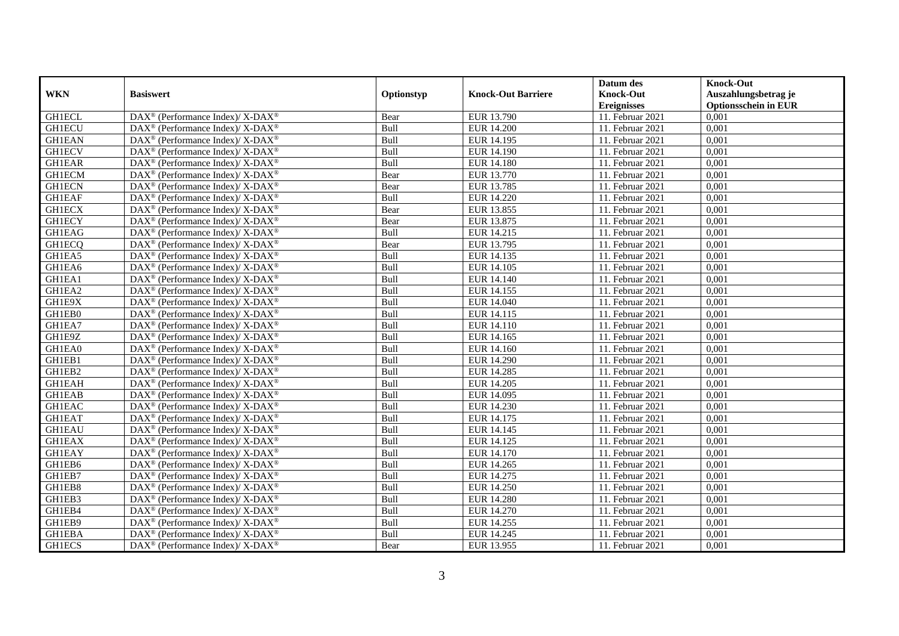|               |                                                                    |            |                           | Datum des          | <b>Knock-Out</b>            |
|---------------|--------------------------------------------------------------------|------------|---------------------------|--------------------|-----------------------------|
| <b>WKN</b>    | <b>Basiswert</b>                                                   | Optionstyp | <b>Knock-Out Barriere</b> | <b>Knock-Out</b>   | Auszahlungsbetrag je        |
|               |                                                                    |            |                           | <b>Ereignisses</b> | <b>Optionsschein in EUR</b> |
| <b>GH1ECL</b> | DAX <sup>®</sup> (Performance Index)/ X-DAX <sup>®</sup>           | Bear       | EUR 13.790                | 11. Februar 2021   | 0,001                       |
| <b>GH1ECU</b> | DAX <sup>®</sup> (Performance Index)/ X-DAX <sup>®</sup>           | Bull       | <b>EUR 14.200</b>         | 11. Februar 2021   | 0,001                       |
| <b>GH1EAN</b> | $DAX^{\circledast}$ (Performance Index)/ X-DAX <sup>®</sup>        | Bull       | EUR 14.195                | 11. Februar 2021   | 0,001                       |
| <b>GH1ECV</b> | DAX <sup>®</sup> (Performance Index)/ X-DAX <sup>®</sup>           | Bull       | EUR 14.190                | 11. Februar 2021   | 0,001                       |
| <b>GH1EAR</b> | DAX <sup>®</sup> (Performance Index)/ X-DAX <sup>®</sup>           | Bull       | <b>EUR 14.180</b>         | 11. Februar 2021   | 0,001                       |
| <b>GH1ECM</b> | DAX <sup>®</sup> (Performance Index)/ X-DAX <sup>®</sup>           | Bear       | EUR 13.770                | 11. Februar 2021   | 0,001                       |
| <b>GH1ECN</b> | DAX <sup>®</sup> (Performance Index)/ X-DAX <sup>®</sup>           | Bear       | EUR 13.785                | 11. Februar 2021   | 0,001                       |
| <b>GH1EAF</b> | DAX <sup>®</sup> (Performance Index)/ X-DAX <sup>®</sup>           | Bull       | <b>EUR 14.220</b>         | 11. Februar 2021   | 0,001                       |
| <b>GH1ECX</b> | $DAX^{\circledast}$ (Performance Index)/ X-DAX <sup>®</sup>        | Bear       | EUR 13.855                | 11. Februar 2021   | 0,001                       |
| <b>GH1ECY</b> | DAX <sup>®</sup> (Performance Index)/ X-DAX <sup>®</sup>           | Bear       | EUR 13.875                | 11. Februar 2021   | 0,001                       |
| <b>GH1EAG</b> | $DAX^{\circledast}$ (Performance Index)/ X-DAX <sup>®</sup>        | Bull       | EUR 14.215                | 11. Februar 2021   | 0,001                       |
| <b>GH1ECQ</b> | $\text{DAX}^{\circledR}$ (Performance Index)/ X-DAX <sup>®</sup>   | Bear       | EUR 13.795                | 11. Februar 2021   | 0,001                       |
| GH1EA5        | DAX <sup>®</sup> (Performance Index)/ X-DAX <sup>®</sup>           | Bull       | EUR 14.135                | 11. Februar 2021   | 0,001                       |
| GH1EA6        | $\text{DAX}^{\circledast}$ (Performance Index)/ X-DAX <sup>®</sup> | Bull       | EUR 14.105                | 11. Februar 2021   | 0,001                       |
| GH1EA1        | $DAX^{\circledast}$ (Performance Index)/ X-DAX <sup>®</sup>        | Bull       | EUR 14.140                | 11. Februar 2021   | 0,001                       |
| GH1EA2        | $DAX^{\circledast}$ (Performance Index)/ X-DAX <sup>®</sup>        | Bull       | EUR 14.155                | 11. Februar 2021   | 0,001                       |
| GH1E9X        | DAX <sup>®</sup> (Performance Index)/ X-DAX <sup>®</sup>           | Bull       | EUR 14.040                | 11. Februar 2021   | 0,001                       |
| GH1EB0        | DAX <sup>®</sup> (Performance Index)/ X-DAX <sup>®</sup>           | Bull       | EUR 14.115                | 11. Februar 2021   | 0,001                       |
| GH1EA7        | $DAX^{\circledast}$ (Performance Index)/ X-DAX <sup>®</sup>        | Bull       | EUR 14.110                | 11. Februar 2021   | 0,001                       |
| GH1E9Z        | DAX <sup>®</sup> (Performance Index)/ X-DAX <sup>®</sup>           | Bull       | EUR 14.165                | 11. Februar 2021   | 0,001                       |
| GH1EA0        | DAX <sup>®</sup> (Performance Index)/ X-DAX <sup>®</sup>           | Bull       | EUR 14.160                | 11. Februar 2021   | 0,001                       |
| GH1EB1        | DAX <sup>®</sup> (Performance Index)/X-DAX <sup>®</sup>            | Bull       | <b>EUR 14.290</b>         | 11. Februar 2021   | 0,001                       |
| GH1EB2        | DAX <sup>®</sup> (Performance Index)/ X-DAX <sup>®</sup>           | Bull       | EUR 14.285                | 11. Februar 2021   | 0,001                       |
| <b>GH1EAH</b> | DAX <sup>®</sup> (Performance Index)/ X-DAX <sup>®</sup>           | Bull       | EUR 14.205                | 11. Februar 2021   | 0,001                       |
| <b>GH1EAB</b> | DAX <sup>®</sup> (Performance Index)/X-DAX <sup>®</sup>            | Bull       | EUR 14.095                | 11. Februar 2021   | 0,001                       |
| <b>GH1EAC</b> | DAX <sup>®</sup> (Performance Index)/ X-DAX <sup>®</sup>           | Bull       | EUR 14.230                | 11. Februar 2021   | 0,001                       |
| <b>GH1EAT</b> | $\text{DAX}^{\circledast}$ (Performance Index)/ X-DAX <sup>®</sup> | Bull       | EUR 14.175                | 11. Februar 2021   | 0,001                       |
| <b>GH1EAU</b> | DAX <sup>®</sup> (Performance Index)/ X-DAX <sup>®</sup>           | Bull       | EUR 14.145                | 11. Februar 2021   | 0,001                       |
| <b>GH1EAX</b> | $DAX^{\circledast}$ (Performance Index)/ X-DAX <sup>®</sup>        | Bull       | EUR 14.125                | 11. Februar 2021   | 0,001                       |
| <b>GH1EAY</b> | $DAX^{\circledcirc}$ (Performance Index)/X-DAX <sup>®</sup>        | Bull       | EUR 14.170                | 11. Februar 2021   | 0.001                       |
| GH1EB6        | DAX <sup>®</sup> (Performance Index)/ X-DAX <sup>®</sup>           | Bull       | EUR 14.265                | 11. Februar 2021   | 0,001                       |
| GH1EB7        | DAX <sup>®</sup> (Performance Index)/ X-DAX <sup>®</sup>           | Bull       | EUR 14.275                | 11. Februar 2021   | 0,001                       |
| GH1EB8        | $DAX^{\circledast}$ (Performance Index)/ X-DAX <sup>®</sup>        | Bull       | <b>EUR 14.250</b>         | 11. Februar 2021   | 0,001                       |
| GH1EB3        | DAX <sup>®</sup> (Performance Index)/ X-DAX <sup>®</sup>           | Bull       | <b>EUR 14.280</b>         | 11. Februar 2021   | 0,001                       |
| GH1EB4        | DAX <sup>®</sup> (Performance Index)/ X-DAX <sup>®</sup>           | Bull       | <b>EUR 14.270</b>         | 11. Februar 2021   | 0,001                       |
| GH1EB9        | $\text{DAX}^{\circledast}$ (Performance Index)/ X-DAX <sup>®</sup> | Bull       | EUR 14.255                | 11. Februar 2021   | 0,001                       |
| <b>GH1EBA</b> | DAX <sup>®</sup> (Performance Index)/ X-DAX <sup>®</sup>           | Bull       | EUR 14.245                | 11. Februar 2021   | 0,001                       |
| <b>GH1ECS</b> | DAX <sup>®</sup> (Performance Index)/ X-DAX <sup>®</sup>           | Bear       | EUR 13.955                | 11. Februar 2021   | 0,001                       |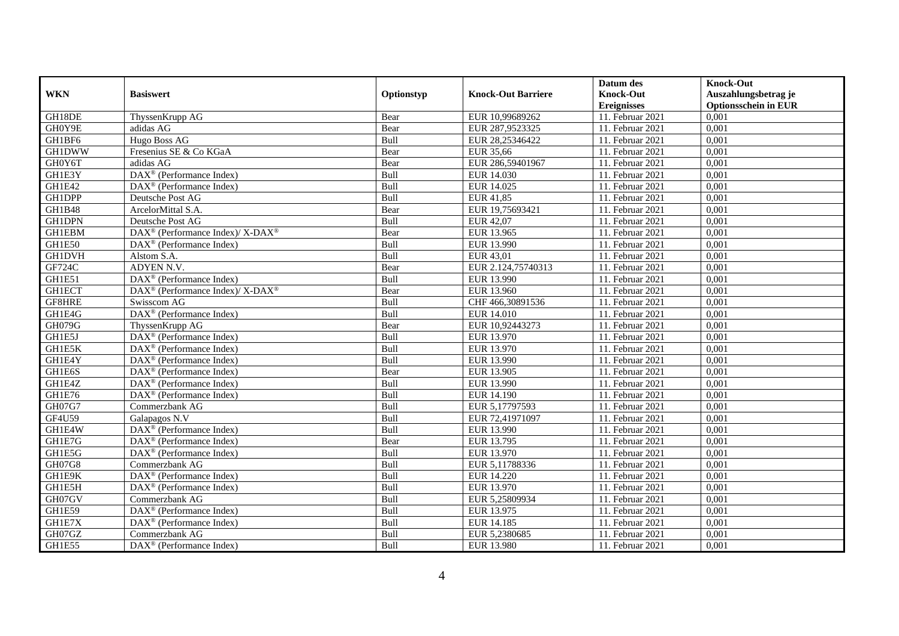|               |                                                         |             |                           | Datum des          | <b>Knock-Out</b>            |
|---------------|---------------------------------------------------------|-------------|---------------------------|--------------------|-----------------------------|
| <b>WKN</b>    | <b>Basiswert</b>                                        | Optionstyp  | <b>Knock-Out Barriere</b> | <b>Knock-Out</b>   | Auszahlungsbetrag je        |
|               |                                                         |             |                           | <b>Ereignisses</b> | <b>Optionsschein in EUR</b> |
| GH18DE        | ThyssenKrupp AG                                         | Bear        | EUR 10,99689262           | 11. Februar 2021   | 0,001                       |
| GH0Y9E        | adidas AG                                               | Bear        | EUR 287,9523325           | 11. Februar 2021   | 0,001                       |
| GH1BF6        | Hugo Boss AG                                            | Bull        | EUR 28,25346422           | 11. Februar 2021   | 0,001                       |
| <b>GH1DWW</b> | Fresenius SE & Co KGaA                                  | Bear        | EUR 35,66                 | 11. Februar 2021   | 0,001                       |
| GH0Y6T        | adidas AG                                               | Bear        | EUR 286,59401967          | 11. Februar 2021   | 0,001                       |
| GH1E3Y        | DAX <sup>®</sup> (Performance Index)                    | Bull        | EUR 14.030                | 11. Februar 2021   | 0,001                       |
| GH1E42        | DAX <sup>®</sup> (Performance Index)                    | Bull        | EUR 14.025                | 11. Februar 2021   | 0,001                       |
| GH1DPP        | Deutsche Post AG                                        | Bull        | EUR 41,85                 | 11. Februar 2021   | 0,001                       |
| GH1B48        | ArcelorMittal S.A.                                      | Bear        | EUR 19,75693421           | 11. Februar 2021   | 0,001                       |
| <b>GH1DPN</b> | Deutsche Post AG                                        | Bull        | EUR 42,07                 | 11. Februar 2021   | 0,001                       |
| <b>GH1EBM</b> | DAX <sup>®</sup> (Performance Index)/X-DAX <sup>®</sup> | Bear        | EUR 13.965                | 11. Februar 2021   | 0,001                       |
| GH1E50        | DAX <sup>®</sup> (Performance Index)                    | Bull        | EUR 13.990                | 11. Februar 2021   | 0,001                       |
| <b>GH1DVH</b> | Alstom S.A.                                             | Bull        | EUR 43,01                 | 11. Februar 2021   | 0,001                       |
| <b>GF724C</b> | ADYEN N.V.                                              | Bear        | EUR 2.124,75740313        | 11. Februar 2021   | 0,001                       |
| GH1E51        | DAX <sup>®</sup> (Performance Index)                    | Bull        | EUR 13.990                | 11. Februar 2021   | 0,001                       |
| <b>GH1ECT</b> | DAX <sup>®</sup> (Performance Index)/X-DAX <sup>®</sup> | Bear        | EUR 13.960                | 11. Februar 2021   | 0,001                       |
| GF8HRE        | Swisscom AG                                             | Bull        | CHF 466,30891536          | 11. Februar 2021   | 0,001                       |
| GH1E4G        | $\overline{\text{DAX}^{\otimes}}$ (Performance Index)   | <b>Bull</b> | EUR 14.010                | 11. Februar 2021   | 0,001                       |
| GH079G        | ThyssenKrupp AG                                         | Bear        | EUR 10,92443273           | 11. Februar 2021   | 0,001                       |
| GH1E5J        | DAX <sup>®</sup> (Performance Index)                    | Bull        | EUR 13.970                | 11. Februar 2021   | 0,001                       |
| GH1E5K        | DAX <sup>®</sup> (Performance Index)                    | Bull        | EUR 13.970                | 11. Februar 2021   | 0,001                       |
| GH1E4Y        | $DAX^{\circledR}$ (Performance Index)                   | Bull        | <b>EUR 13.990</b>         | 11. Februar 2021   | 0,001                       |
| GH1E6S        | $\overline{\text{DAX}}^{\textcirc}$ (Performance Index) | Bear        | EUR 13.905                | 11. Februar 2021   | 0,001                       |
| GH1E4Z        | DAX <sup>®</sup> (Performance Index)                    | Bull        | EUR 13.990                | 11. Februar 2021   | 0,001                       |
| GH1E76        | $DAX^{\circledcirc}$ (Performance Index)                | Bull        | EUR 14.190                | 11. Februar 2021   | 0,001                       |
| GH07G7        | Commerzbank AG                                          | Bull        | EUR 5,17797593            | 11. Februar 2021   | 0,001                       |
| GF4U59        | Galapagos N.V                                           | Bull        | EUR 72,41971097           | 11. Februar 2021   | 0,001                       |
| GH1E4W        | $\text{DAX}^{\textcircled{}}$ (Performance Index)       | Bull        | EUR 13.990                | 11. Februar 2021   | 0,001                       |
| GH1E7G        | DAX <sup>®</sup> (Performance Index)                    | Bear        | EUR 13.795                | 11. Februar 2021   | 0,001                       |
| GH1E5G        | DAX <sup>®</sup> (Performance Index)                    | Bull        | EUR 13.970                | 11. Februar 2021   | 0,001                       |
| GH07G8        | Commerzbank AG                                          | Bull        | EUR 5,11788336            | 11. Februar 2021   | 0,001                       |
| GH1E9K        | DAX <sup>®</sup> (Performance Index)                    | Bull        | <b>EUR 14.220</b>         | 11. Februar 2021   | 0,001                       |
| GH1E5H        | $DAX^{\circledR}$ (Performance Index)                   | Bull        | EUR 13.970                | 11. Februar 2021   | 0,001                       |
| GH07GV        | Commerzbank AG                                          | Bull        | EUR 5,25809934            | 11. Februar 2021   | 0,001                       |
| GH1E59        | $DAX^{\circledast}$ (Performance Index)                 | Bull        | EUR 13.975                | 11. Februar 2021   | 0,001                       |
| GH1E7X        | DAX <sup>®</sup> (Performance Index)                    | Bull        | EUR 14.185                | 11. Februar 2021   | 0,001                       |
| GH07GZ        | Commerzbank AG                                          | Bull        | EUR 5,2380685             | 11. Februar 2021   | 0,001                       |
| GH1E55        | $\overline{\text{DAX}}^{\textcirc}$ (Performance Index) | Bull        | <b>EUR 13.980</b>         | 11. Februar 2021   | 0,001                       |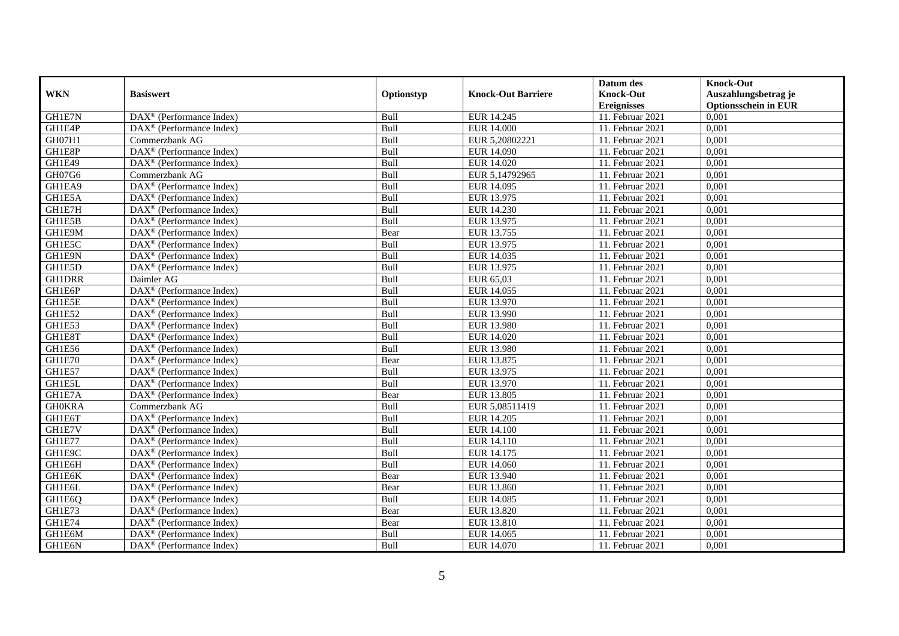|               |                                                              |            |                           | Datum des          | <b>Knock-Out</b>            |
|---------------|--------------------------------------------------------------|------------|---------------------------|--------------------|-----------------------------|
| <b>WKN</b>    | <b>Basiswert</b>                                             | Optionstyp | <b>Knock-Out Barriere</b> | <b>Knock-Out</b>   | Auszahlungsbetrag je        |
|               |                                                              |            |                           | <b>Ereignisses</b> | <b>Optionsschein in EUR</b> |
| GH1E7N        | $\overline{\text{DAX}}^{\textcirc}$ (Performance Index)      | Bull       | EUR 14.245                | 11. Februar 2021   | 0,001                       |
| GH1E4P        | $\overline{\text{DAX}}^{\textcirc}$ (Performance Index)      | Bull       | EUR 14.000                | 11. Februar 2021   | 0,001                       |
| GH07H1        | Commerzbank AG                                               | Bull       | EUR 5,20802221            | 11. Februar 2021   | 0,001                       |
| GH1E8P        | $\text{DAX}^{\otimes}$ (Performance Index)                   | Bull       | EUR 14.090                | 11. Februar 2021   | 0,001                       |
| GH1E49        | DAX <sup>®</sup> (Performance Index)                         | Bull       | EUR 14.020                | 11. Februar 2021   | 0,001                       |
| GH07G6        | Commerzbank AG                                               | Bull       | EUR 5,14792965            | 11. Februar 2021   | 0,001                       |
| GH1EA9        | $\overline{\text{DAX}}^{\textcircled{}}$ (Performance Index) | Bull       | EUR 14.095                | 11. Februar 2021   | 0,001                       |
| GH1E5A        | $DAX^{\otimes}$ (Performance Index)                          | Bull       | EUR 13.975                | 11. Februar 2021   | 0,001                       |
| GH1E7H        | $\text{DAX}^{\textcircled{D}}$ (Performance Index)           | Bull       | EUR 14.230                | 11. Februar 2021   | 0,001                       |
| GH1E5B        | $DAX^{\otimes}$ (Performance Index)                          | Bull       | EUR 13.975                | 11. Februar 2021   | 0,001                       |
| GH1E9M        | $\overline{\text{DAX}}^{\textcircled{}}$ (Performance Index) | Bear       | EUR 13.755                | 11. Februar 2021   | 0,001                       |
| GH1E5C        | $\overline{\text{DAX}^{\otimes}}$ (Performance Index)        | Bull       | EUR 13.975                | 11. Februar 2021   | 0,001                       |
| GH1E9N        | $\text{DAX}^{\textcircled{n}}$ (Performance Index)           | Bull       | EUR 14.035                | 11. Februar 2021   | 0,001                       |
| GH1E5D        | $\text{DAX}^{\circledast}$ (Performance Index)               | Bull       | EUR 13.975                | 11. Februar 2021   | 0,001                       |
| <b>GH1DRR</b> | Daimler AG                                                   | Bull       | EUR 65,03                 | 11. Februar 2021   | 0,001                       |
| GH1E6P        | DAX <sup>®</sup> (Performance Index)                         | Bull       | EUR 14.055                | 11. Februar 2021   | 0,001                       |
| GH1E5E        | DAX <sup>®</sup> (Performance Index)                         | Bull       | EUR 13.970                | 11. Februar 2021   | 0,001                       |
| GH1E52        | $DAX^{\circledR}$ (Performance Index)                        | Bull       | EUR 13.990                | 11. Februar 2021   | 0,001                       |
| GH1E53        | $\overline{\text{DAX}}^{\textcirc}$ (Performance Index)      | Bull       | <b>EUR 13.980</b>         | 11. Februar 2021   | 0,001                       |
| GH1E8T        | DAX <sup>®</sup> (Performance Index)                         | Bull       | EUR 14.020                | 11. Februar 2021   | 0,001                       |
| GH1E56        | DAX <sup>®</sup> (Performance Index)                         | Bull       | <b>EUR 13.980</b>         | 11. Februar 2021   | 0,001                       |
| <b>GH1E70</b> | $\overline{\text{DAX}^{\otimes}}$ (Performance Index)        | Bear       | EUR 13.875                | 11. Februar 2021   | 0,001                       |
| GH1E57        | $\overline{\text{DAX}^{\otimes}}$ (Performance Index)        | Bull       | EUR 13.975                | $11.$ Februar 2021 | 0,001                       |
| GH1E5L        | DAX <sup>®</sup> (Performance Index)                         | Bull       | EUR 13.970                | 11. Februar 2021   | 0,001                       |
| GH1E7A        | $\overline{\text{DAX}^{\otimes}}$ (Performance Index)        | Bear       | EUR 13.805                | 11. Februar 2021   | 0,001                       |
| <b>GH0KRA</b> | Commerzbank AG                                               | Bull       | EUR 5,08511419            | 11. Februar 2021   | 0,001                       |
| GH1E6T        | $\overline{\text{DAX}^{\otimes}}$ (Performance Index)        | Bull       | <b>EUR 14.205</b>         | 11. Februar 2021   | 0,001                       |
| GH1E7V        | $\text{DAX}^{\textcircled{D}}$ (Performance Index)           | Bull       | <b>EUR 14.100</b>         | $11.$ Februar 2021 | 0,001                       |
| GH1E77        | $\text{DAX}^{\textcircled{p}}$ (Performance Index)           | Bull       | EUR 14.110                | 11. Februar 2021   | 0,001                       |
| GH1E9C        | $\text{DAX}^{\textcircled{p}}$ (Performance Index)           | Bull       | EUR 14.175                | 11. Februar 2021   | 0,001                       |
| GH1E6H        | DAX <sup>®</sup> (Performance Index)                         | Bull       | EUR 14.060                | 11. Februar 2021   | 0,001                       |
| GH1E6K        | DAX <sup>®</sup> (Performance Index)                         | Bear       | EUR 13.940                | 11. Februar 2021   | 0,001                       |
| GH1E6L        | $\overline{\text{DAX}^{\otimes}}$ (Performance Index)        | Bear       | EUR 13.860                | 11. Februar 2021   | 0,001                       |
| GH1E6Q        | DAX <sup>®</sup> (Performance Index)                         | Bull       | <b>EUR 14.085</b>         | $11.$ Februar 2021 | 0,001                       |
| GH1E73        | $\text{DAX}^{\textcircled{n}}$ (Performance Index)           | Bear       | EUR 13.820                | 11. Februar 2021   | 0,001                       |
| <b>GH1E74</b> | $\text{DAX}^{\textcircled{n}}$ (Performance Index)           | Bear       | EUR 13.810                | 11. Februar 2021   | 0,001                       |
| GH1E6M        | $\text{DAX}^{\otimes}$ (Performance Index)                   | Bull       | EUR 14.065                | 11. Februar 2021   | 0,001                       |
| GH1E6N        | $\overline{\text{DAX}}^{\textcirc}$ (Performance Index)      | Bull       | EUR 14.070                | 11. Februar 2021   | 0,001                       |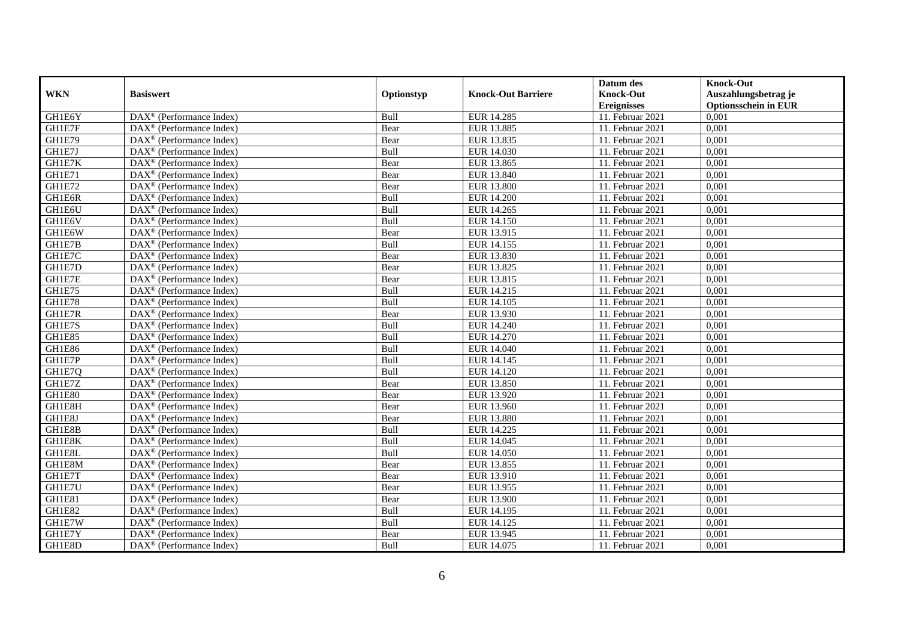|               |                                                              |            |                           | Datum des          | <b>Knock-Out</b>            |
|---------------|--------------------------------------------------------------|------------|---------------------------|--------------------|-----------------------------|
| <b>WKN</b>    | <b>Basiswert</b>                                             | Optionstyp | <b>Knock-Out Barriere</b> | <b>Knock-Out</b>   | Auszahlungsbetrag je        |
|               |                                                              |            |                           | <b>Ereignisses</b> | <b>Optionsschein in EUR</b> |
| GH1E6Y        | DAX <sup>®</sup> (Performance Index)                         | Bull       | EUR 14.285                | 11. Februar 2021   | 0,001                       |
| GH1E7F        | $DAX^{\circledR}$ (Performance Index)                        | Bear       | EUR 13.885                | 11. Februar 2021   | 0,001                       |
| <b>GH1E79</b> | DAX <sup>®</sup> (Performance Index)                         | Bear       | EUR 13.835                | 11. Februar 2021   | 0,001                       |
| GH1E7J        | $\text{DAX}^{\otimes}$ (Performance Index)                   | Bull       | EUR 14.030                | 11. Februar 2021   | 0,001                       |
| GH1E7K        | DAX <sup>®</sup> (Performance Index)                         | Bear       | EUR 13.865                | 11. Februar 2021   | 0,001                       |
| GH1E71        | $\text{DAX}^{\textcircled{n}}$ (Performance Index)           | Bear       | EUR 13.840                | 11. Februar 2021   | 0,001                       |
| <b>GH1E72</b> | $\text{DAX}^{\textcircled{n}}$ (Performance Index)           | Bear       | <b>EUR 13.800</b>         | 11. Februar 2021   | 0,001                       |
| GH1E6R        | $\text{DAX}^{\textcircled{}}$ (Performance Index)            | Bull       | <b>EUR 14.200</b>         | 11. Februar 2021   | 0,001                       |
| GH1E6U        | $\text{DAX}^{\textcircled{p}}$ (Performance Index)           | Bull       | EUR 14.265                | 11. Februar 2021   | 0,001                       |
| GH1E6V        | $DAX^{\otimes}$ (Performance Index)                          | Bull       | <b>EUR 14.150</b>         | 11. Februar 2021   | 0,001                       |
| GH1E6W        | $\overline{\text{DAX}}^{\textcircled{}}$ (Performance Index) | Bear       | EUR 13.915                | 11. Februar 2021   | 0,001                       |
| GH1E7B        | $\overline{\text{DAX}^{\otimes}}$ (Performance Index)        | Bull       | EUR 14.155                | 11. Februar 2021   | 0,001                       |
| GH1E7C        | $\text{DAX}^{\textcircled{n}}$ (Performance Index)           | Bear       | EUR 13.830                | 11. Februar 2021   | 0,001                       |
| GH1E7D        | DAX <sup>®</sup> (Performance Index)                         | Bear       | EUR 13.825                | 11. Februar 2021   | 0,001                       |
| GH1E7E        | DAX <sup>®</sup> (Performance Index)                         | Bear       | EUR 13.815                | $11.$ Februar 2021 | 0,001                       |
| GH1E75        | DAX <sup>®</sup> (Performance Index)                         | Bull       | EUR 14.215                | 11. Februar 2021   | 0,001                       |
| GH1E78        | DAX <sup>®</sup> (Performance Index)                         | Bull       | EUR 14.105                | 11. Februar 2021   | 0,001                       |
| GH1E7R        | $\overline{\text{DAX}}^{\textcirc}$ (Performance Index)      | Bear       | EUR 13.930                | 11. Februar 2021   | 0,001                       |
| GH1E7S        | DAX <sup>®</sup> (Performance Index)                         | Bull       | <b>EUR 14.240</b>         | 11. Februar 2021   | 0,001                       |
| GH1E85        | DAX <sup>®</sup> (Performance Index)                         | Bull       | EUR 14.270                | 11. Februar 2021   | 0,001                       |
| GH1E86        | DAX <sup>®</sup> (Performance Index)                         | Bull       | EUR 14.040                | 11. Februar 2021   | 0,001                       |
| GH1E7P        | $\overline{\text{DAX}^{\otimes}}$ (Performance Index)        | Bull       | EUR 14.145                | 11. Februar 2021   | 0,001                       |
| GH1E7Q        | $\text{DAX}^{\circledast}$ (Performance Index)               | Bull       | EUR 14.120                | $11.$ Februar 2021 | 0,001                       |
| GH1E7Z        | DAX <sup>®</sup> (Performance Index)                         | Bear       | <b>EUR 13.850</b>         | 11. Februar 2021   | 0,001                       |
| <b>GH1E80</b> | DAX <sup>®</sup> (Performance Index)                         | Bear       | EUR 13.920                | 11. Februar 2021   | 0,001                       |
| GH1E8H        | $\text{DAX}^{\otimes}$ (Performance Index)                   | Bear       | EUR 13.960                | 11. Februar 2021   | 0,001                       |
| GH1E8J        | $\text{DAX}^{\circledast}$ (Performance Index)               | Bear       | <b>EUR 13.880</b>         | 11. Februar 2021   | 0,001                       |
| GH1E8B        | $\text{DAX}^{\textcircled{D}}$ (Performance Index)           | Bull       | EUR 14.225                | $11.$ Februar 2021 | 0,001                       |
| GH1E8K        | $\text{DAX}^{\textcircled{D}}$ (Performance Index)           | Bull       | EUR 14.045                | 11. Februar 2021   | 0,001                       |
| GH1E8L        | $\text{DAX}^{\textcircled{D}}$ (Performance Index)           | Bull       | <b>EUR 14.050</b>         | 11. Februar 2021   | 0,001                       |
| GH1E8M        | DAX <sup>®</sup> (Performance Index)                         | Bear       | EUR 13.855                | 11. Februar 2021   | 0,001                       |
| GH1E7T        | DAX <sup>®</sup> (Performance Index)                         | Bear       | EUR 13.910                | 11. Februar 2021   | 0,001                       |
| GH1E7U        | $\overline{\text{DAX}^{\otimes}}$ (Performance Index)        | Bear       | EUR 13.955                | 11. Februar 2021   | 0,001                       |
| GH1E81        | DAX <sup>®</sup> (Performance Index)                         | Bear       | EUR 13.900                | $11.$ Februar 2021 | 0,001                       |
| <b>GH1E82</b> | $\text{DAX}^{\textcircled{n}}$ (Performance Index)           | Bull       | EUR 14.195                | 11. Februar 2021   | 0,001                       |
| GH1E7W        | $\text{DAX}^{\textcircled{n}}$ (Performance Index)           | Bull       | EUR 14.125                | 11. Februar 2021   | 0,001                       |
| GH1E7Y        | $\text{DAX}^{\otimes}$ (Performance Index)                   | Bear       | EUR 13.945                | 11. Februar 2021   | 0,001                       |
| GH1E8D        | $\overline{\text{DAX}}^{\textcirc}$ (Performance Index)      | Bull       | EUR 14.075                | 11. Februar 2021   | 0,001                       |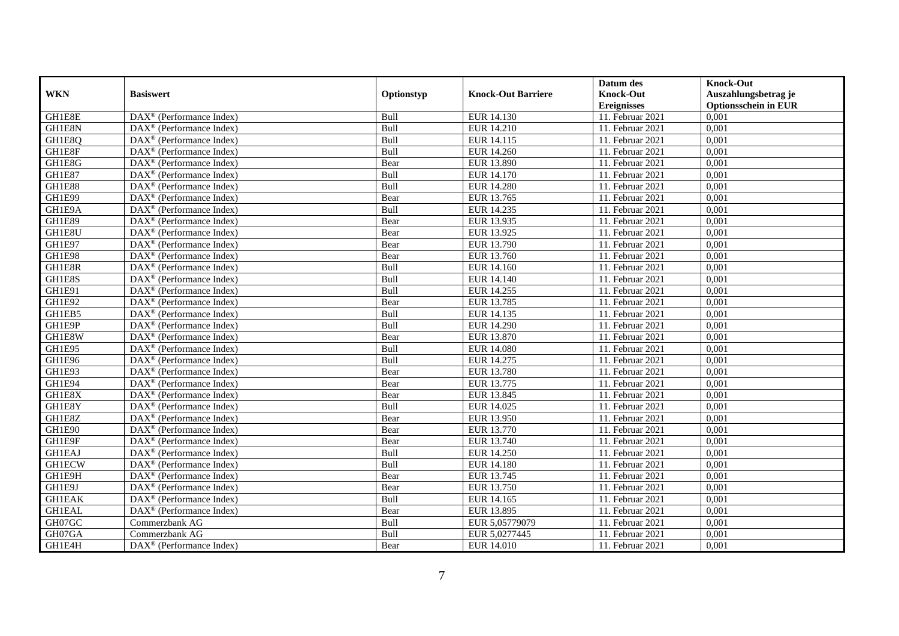|               |                                                              |             |                           | Datum des          | <b>Knock-Out</b>            |
|---------------|--------------------------------------------------------------|-------------|---------------------------|--------------------|-----------------------------|
| <b>WKN</b>    | <b>Basiswert</b>                                             | Optionstyp  | <b>Knock-Out Barriere</b> | <b>Knock-Out</b>   | Auszahlungsbetrag je        |
|               |                                                              |             |                           | <b>Ereignisses</b> | <b>Optionsschein in EUR</b> |
| GH1E8E        | DAX <sup>®</sup> (Performance Index)                         | Bull        | EUR 14.130                | 11. Februar 2021   | 0,001                       |
| GH1E8N        | $\text{DAX}^{\circledast}$ (Performance Index)               | Bull        | EUR 14.210                | 11. Februar 2021   | 0,001                       |
| GH1E8Q        | DAX <sup>®</sup> (Performance Index)                         | Bull        | EUR 14.115                | 11. Februar 2021   | 0,001                       |
| GH1E8F        | $\text{DAX}^{\circledR}$ (Performance Index)                 | Bull        | EUR 14.260                | $11.$ Februar 2021 | 0,001                       |
| GH1E8G        | DAX <sup>®</sup> (Performance Index)                         | Bear        | EUR 13.890                | 11. Februar 2021   | 0,001                       |
| GH1E87        | $\text{DAX}^{\textcircled{p}}$ (Performance Index)           | Bull        | EUR 14.170                | 11. Februar 2021   | 0,001                       |
| GH1E88        | $\text{DAX}^{\textcircled{}}$ (Performance Index)            | Bull        | <b>EUR 14.280</b>         | 11. Februar 2021   | 0,001                       |
| <b>GH1E99</b> | $\overline{\text{DAX}}^{\textcirc}$ (Performance Index)      | Bear        | EUR 13.765                | 11. Februar 2021   | 0,001                       |
| GH1E9A        | $\text{DAX}^{\textcircled{n}}$ (Performance Index)           | Bull        | EUR 14.235                | 11. Februar 2021   | 0,001                       |
| <b>GH1E89</b> | $\text{DAX}^{\otimes}$ (Performance Index)                   | Bear        | EUR 13.935                | 11. Februar 2021   | 0,001                       |
| GH1E8U        | $\overline{\text{DAX}}^{\textcircled{}}$ (Performance Index) | Bear        | EUR 13.925                | 11. Februar 2021   | 0,001                       |
| GH1E97        | DAX <sup>®</sup> (Performance Index)                         | Bear        | EUR 13.790                | $11.$ Februar 2021 | 0,001                       |
| GH1E98        | DAX <sup>®</sup> (Performance Index)                         | Bear        | EUR 13.760                | 11. Februar 2021   | 0,001                       |
| GH1E8R        | $DAX^{\circledR}$ (Performance Index)                        | Bull        | EUR 14.160                | 11. Februar 2021   | 0,001                       |
| GH1E8S        | $\text{DAX}^{\otimes}$ (Performance Index)                   | Bull        | EUR 14.140                | 11. Februar 2021   | 0,001                       |
| GH1E91        | DAX <sup>®</sup> (Performance Index)                         | Bull        | EUR 14.255                | 11. Februar 2021   | 0,001                       |
| GH1E92        | DAX <sup>®</sup> (Performance Index)                         | Bear        | EUR 13.785                | 11. Februar 2021   | 0,001                       |
| GH1EB5        | $DAX^{\circledR}$ (Performance Index)                        | <b>Bull</b> | EUR 14.135                | 11. Februar 2021   | 0,001                       |
| GH1E9P        | $\overline{\text{DAX}}^{\textcirc}$ (Performance Index)      | Bull        | <b>EUR 14.290</b>         | 11. Februar 2021   | 0,001                       |
| GH1E8W        | DAX <sup>®</sup> (Performance Index)                         | Bear        | EUR 13.870                | 11. Februar 2021   | 0,001                       |
| GH1E95        | DAX <sup>®</sup> (Performance Index)                         | Bull        | <b>EUR 14.080</b>         | 11. Februar 2021   | 0,001                       |
| GH1E96        | $\overline{\text{DAX}^{\otimes}}$ (Performance Index)        | Bull        | EUR 14.275                | 11. Februar 2021   | 0,001                       |
| GH1E93        | DAX <sup>®</sup> (Performance Index)                         | Bear        | EUR 13.780                | 11. Februar 2021   | 0,001                       |
| GH1E94        | DAX <sup>®</sup> (Performance Index)                         | Bear        | EUR 13.775                | 11. Februar 2021   | 0,001                       |
| GH1E8X        | DAX <sup>®</sup> (Performance Index)                         | Bear        | EUR 13.845                | 11. Februar 2021   | 0.001                       |
| GH1E8Y        | DAX <sup>®</sup> (Performance Index)                         | Bull        | EUR 14.025                | 11. Februar 2021   | 0,001                       |
| GH1E8Z        | DAX <sup>®</sup> (Performance Index)                         | Bear        | <b>EUR 13.950</b>         | 11. Februar 2021   | 0,001                       |
| GH1E90        | $\text{DAX}^{\textcircled{p}}$ (Performance Index)           | Bear        | EUR 13.770                | 11. Februar 2021   | 0,001                       |
| GH1E9F        | $\overline{\text{DAX}^{\otimes}}$ (Performance Index)        | Bear        | EUR 13.740                | 11. Februar 2021   | 0,001                       |
| <b>GH1EAJ</b> | $\text{DAX}^{\circledast}$ (Performance Index)               | Bull        | EUR 14.250                | 11. Februar 2021   | 0,001                       |
| <b>GH1ECW</b> | $\text{DAX}^{\textcircled{n}}$ (Performance Index)           | Bull        | <b>EUR 14.180</b>         | 11. Februar 2021   | 0,001                       |
| GH1E9H        | $DAX^{\circledR}$ (Performance Index)                        | Bear        | EUR 13.745                | 11. Februar 2021   | 0,001                       |
| GH1E9J        | $\overline{\text{DAX}^{\otimes}}$ (Performance Index)        | Bear        | EUR 13.750                | 11. Februar 2021   | 0,001                       |
| <b>GH1EAK</b> | DAX <sup>®</sup> (Performance Index)                         | Bull        | EUR 14.165                | 11. Februar 2021   | 0,001                       |
| <b>GH1EAL</b> | DAX <sup>®</sup> (Performance Index)                         | Bear        | EUR 13.895                | 11. Februar 2021   | 0,001                       |
| GH07GC        | Commerzbank AG                                               | Bull        | EUR 5,05779079            | 11. Februar 2021   | 0,001                       |
| GH07GA        | Commerzbank AG                                               | Bull        | EUR 5,0277445             | 11. Februar 2021   | 0,001                       |
| GH1E4H        | $\text{DAX}^{\circledast}$ (Performance Index)               | Bear        | <b>EUR 14.010</b>         | 11. Februar 2021   | 0,001                       |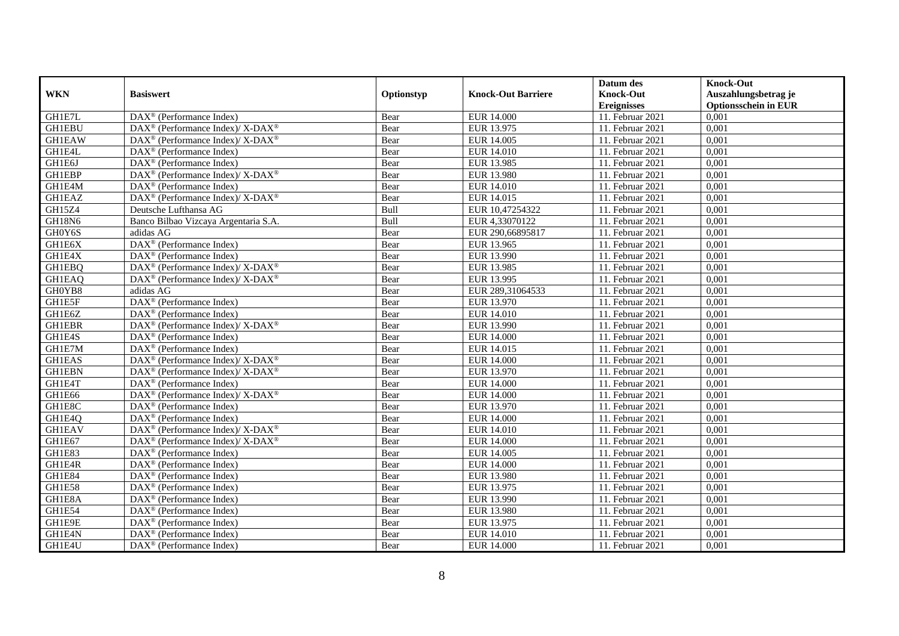|               |                                                                           |            |                           | Datum des          | <b>Knock-Out</b>            |
|---------------|---------------------------------------------------------------------------|------------|---------------------------|--------------------|-----------------------------|
| <b>WKN</b>    | <b>Basiswert</b>                                                          | Optionstyp | <b>Knock-Out Barriere</b> | <b>Knock-Out</b>   | Auszahlungsbetrag je        |
|               |                                                                           |            |                           | <b>Ereignisses</b> | <b>Optionsschein in EUR</b> |
| GH1E7L        | DAX <sup>®</sup> (Performance Index)                                      | Bear       | <b>EUR 14.000</b>         | 11. Februar 2021   | 0,001                       |
| <b>GH1EBU</b> | DAX <sup>®</sup> (Performance Index)/ X-DAX <sup>®</sup>                  | Bear       | EUR 13.975                | 11. Februar 2021   | 0,001                       |
| <b>GH1EAW</b> | DAX <sup>®</sup> (Performance Index)/ X-DAX <sup>®</sup>                  | Bear       | EUR 14.005                | 11. Februar 2021   | 0,001                       |
| GH1E4L        | $DAX^{\circledast}$ (Performance Index)                                   | Bear       | EUR 14.010                | 11. Februar 2021   | 0,001                       |
| GH1E6J        | $DAX^{\circledast}$ (Performance Index)                                   | Bear       | EUR 13.985                | 11. Februar 2021   | 0,001                       |
| <b>GH1EBP</b> | DAX <sup>®</sup> (Performance Index)/X-DAX <sup>®</sup>                   | Bear       | <b>EUR 13.980</b>         | 11. Februar 2021   | 0,001                       |
| GH1E4M        | $DAX^{\circledR}$ (Performance Index)                                     | Bear       | EUR 14.010                | 11. Februar 2021   | 0,001                       |
| <b>GH1EAZ</b> | DAX <sup>®</sup> (Performance Index)/ X-DAX <sup>®</sup>                  | Bear       | EUR 14.015                | 11. Februar 2021   | 0,001                       |
| GH15Z4        | Deutsche Lufthansa AG                                                     | Bull       | EUR 10,47254322           | 11. Februar 2021   | 0,001                       |
| GH18N6        | Banco Bilbao Vizcaya Argentaria S.A.                                      | Bull       | EUR 4,33070122            | 11. Februar 2021   | 0,001                       |
| GH0Y6S        | adidas AG                                                                 | Bear       | EUR 290,66895817          | 11. Februar 2021   | 0,001                       |
| GH1E6X        | DAX <sup>®</sup> (Performance Index)                                      | Bear       | EUR 13.965                | 11. Februar 2021   | 0,001                       |
| GH1E4X        | $DAX^{\circledast}$ (Performance Index)                                   | Bear       | EUR 13.990                | 11. Februar 2021   | 0,001                       |
| <b>GH1EBO</b> | $DAX^{\circledcirc}$ (Performance Index)/X-DAX <sup>®</sup>               | Bear       | EUR 13.985                | 11. Februar 2021   | 0.001                       |
| <b>GH1EAQ</b> | DAX <sup>®</sup> (Performance Index)/ X-DAX <sup>®</sup>                  | Bear       | EUR 13.995                | 11. Februar 2021   | 0,001                       |
| GH0YB8        | adidas AG                                                                 | Bear       | EUR 289,31064533          | 11. Februar 2021   | 0,001                       |
| GH1E5F        | DAX <sup>®</sup> (Performance Index)                                      | Bear       | EUR 13.970                | 11. Februar 2021   | 0,001                       |
| GH1E6Z        | $\overline{\text{DAX}^{\otimes}}$ (Performance Index)                     | Bear       | <b>EUR 14.010</b>         | 11. Februar 2021   | 0,001                       |
| <b>GH1EBR</b> | DAX <sup>®</sup> (Performance Index)/ X-DAX <sup>®</sup>                  | Bear       | EUR 13.990                | 11. Februar 2021   | 0,001                       |
| GH1E4S        | $DAX^{\circledast}$ (Performance Index)                                   | Bear       | <b>EUR 14.000</b>         | 11. Februar 2021   | 0,001                       |
| GH1E7M        | DAX <sup>®</sup> (Performance Index)                                      | Bear       | EUR 14.015                | 11. Februar 2021   | 0,001                       |
| <b>GH1EAS</b> | $DAX^{\circledast}$ (Performance Index)/ $\overline{X-DAX^{\circledast}}$ | Bear       | EUR 14.000                | 11. Februar 2021   | 0,001                       |
| <b>GH1EBN</b> | $DAX^{\circledast}$ (Performance Index)/ X-DAX <sup>®</sup>               | Bear       | EUR 13.970                | 11. Februar 2021   | 0,001                       |
| GH1E4T        | $DAX^{\circledR}$ (Performance Index)                                     | Bear       | <b>EUR 14.000</b>         | 11. Februar 2021   | 0,001                       |
| GH1E66        | DAX <sup>®</sup> (Performance Index)/ X-DAX <sup>®</sup>                  | Bear       | <b>EUR 14.000</b>         | 11. Februar 2021   | 0,001                       |
| GH1E8C        | DAX <sup>®</sup> (Performance Index)                                      | Bear       | EUR 13.970                | 11. Februar 2021   | 0,001                       |
| GH1E4Q        | DAX <sup>®</sup> (Performance Index)                                      | Bear       | <b>EUR 14.000</b>         | 11. Februar 2021   | 0,001                       |
| <b>GH1EAV</b> | DAX <sup>®</sup> (Performance Index)/ X-DAX <sup>®</sup>                  | Bear       | EUR 14.010                | 11. Februar 2021   | 0,001                       |
| GH1E67        | $DAX^{\circledast}$ (Performance Index)/ X-DAX <sup>®</sup>               | Bear       | <b>EUR 14.000</b>         | 11. Februar 2021   | 0,001                       |
| GH1E83        | $DAX^{\circledast}$ (Performance Index)                                   | Bear       | EUR 14.005                | 11. Februar 2021   | 0,001                       |
| GH1E4R        | $DAX^{\circledR}$ (Performance Index)                                     | Bear       | <b>EUR 14.000</b>         | 11. Februar 2021   | 0,001                       |
| GH1E84        | DAX <sup>®</sup> (Performance Index)                                      | Bear       | EUR 13.980                | 11. Februar 2021   | 0,001                       |
| GH1E58        | $DAX^{\circledR}$ (Performance Index)                                     | Bear       | EUR 13.975                | 11. Februar 2021   | 0,001                       |
| GH1E8A        | $\overline{\text{DAX}^{\otimes}}$ (Performance Index)                     | Bear       | EUR 13.990                | 11. Februar 2021   | 0,001                       |
| GH1E54        | $DAX^{\circledast}$ (Performance Index)                                   | Bear       | EUR 13.980                | 11. Februar 2021   | 0,001                       |
| GH1E9E        | $DAX^{\circledast}$ (Performance Index)                                   | Bear       | EUR 13.975                | 11. Februar 2021   | 0,001                       |
| GH1E4N        | DAX <sup>®</sup> (Performance Index)                                      | Bear       | EUR 14.010                | 11. Februar 2021   | 0,001                       |
| GH1E4U        | $\text{DAX}^{\textcircled{}}$ (Performance Index)                         | Bear       | <b>EUR 14.000</b>         | 11. Februar 2021   | 0,001                       |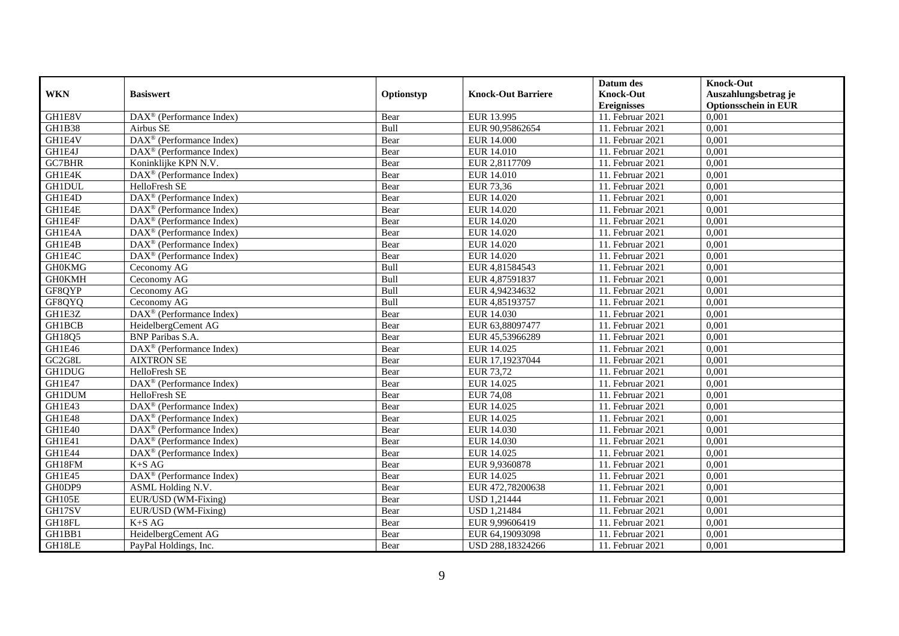|                    |                                                         |            |                           | Datum des          | <b>Knock-Out</b>            |
|--------------------|---------------------------------------------------------|------------|---------------------------|--------------------|-----------------------------|
| <b>WKN</b>         | <b>Basiswert</b>                                        | Optionstyp | <b>Knock-Out Barriere</b> | <b>Knock-Out</b>   | Auszahlungsbetrag je        |
|                    |                                                         |            |                           | <b>Ereignisses</b> | <b>Optionsschein in EUR</b> |
| GH1E8V             | $\overline{\text{DAX}}^{\textcirc}$ (Performance Index) | Bear       | EUR 13.995                | 11. Februar 2021   | 0,001                       |
| <b>GH1B38</b>      | Airbus SE                                               | Bull       | EUR 90,95862654           | 11. Februar 2021   | 0,001                       |
| GH1E4V             | $\overline{\text{DAX}^{\otimes}}$ (Performance Index)   | Bear       | <b>EUR 14.000</b>         | 11. Februar 2021   | 0,001                       |
| GH1E4J             | $\text{DAX}^{\otimes}$ (Performance Index)              | Bear       | <b>EUR 14.010</b>         | 11. Februar 2021   | 0,001                       |
| GC7BHR             | Koninklijke KPN N.V.                                    | Bear       | EUR 2,8117709             | 11. Februar 2021   | 0,001                       |
| GH1E4K             | DAX <sup>®</sup> (Performance Index)                    | Bear       | <b>EUR 14.010</b>         | 11. Februar 2021   | 0,001                       |
| <b>GH1DUL</b>      | HelloFresh SE                                           | Bear       | EUR 73,36                 | 11. Februar 2021   | 0,001                       |
| GH1E4D             | $\text{DAX}^{\textcircled{p}}$ (Performance Index)      | Bear       | EUR 14.020                | 11. Februar 2021   | 0,001                       |
| GH1E4E             | $\text{DAX}^{\textcircled{p}}$ (Performance Index)      | Bear       | EUR 14.020                | 11. Februar 2021   | 0,001                       |
| GH1E4F             | $DAX^{\otimes}$ (Performance Index)                     | Bear       | EUR 14.020                | 11. Februar 2021   | 0,001                       |
| GH1E4A             | $\overline{\text{DAX}}^{\textcirc}$ (Performance Index) | Bear       | <b>EUR 14.020</b>         | 11. Februar 2021   | 0,001                       |
| GH1E4B             | $\overline{\text{DAX}^{\otimes}}$ (Performance Index)   | Bear       | EUR 14.020                | 11. Februar 2021   | 0,001                       |
| GH1E4C             | $\text{DAX}^{\otimes}$ (Performance Index)              | Bear       | EUR 14.020                | 11. Februar 2021   | 0,001                       |
| <b>GH0KMG</b>      | Ceconomy AG                                             | Bull       | EUR 4,81584543            | 11. Februar 2021   | 0,001                       |
| <b>GH0KMH</b>      | Ceconomy AG                                             | Bull       | EUR 4,87591837            | 11. Februar 2021   | 0,001                       |
| GF8QYP             | Ceconomy AG                                             | Bull       | EUR 4,94234632            | 11. Februar 2021   | 0,001                       |
| GF8QYQ             | Ceconomy AG                                             | Bull       | EUR 4,85193757            | 11. Februar 2021   | 0,001                       |
| GH1E3Z             | $\overline{\text{DAX}^{\otimes}}$ (Performance Index)   | Bear       | EUR 14.030                | 11. Februar 2021   | 0,001                       |
| <b>GH1BCB</b>      | HeidelbergCement AG                                     | Bear       | EUR 63,88097477           | 11. Februar 2021   | 0,001                       |
| GH18Q5             | <b>BNP</b> Paribas S.A.                                 | Bear       | EUR 45,53966289           | 11. Februar 2021   | 0,001                       |
| GH1E46             | DAX <sup>®</sup> (Performance Index)                    | Bear       | EUR 14.025                | 11. Februar 2021   | 0,001                       |
| GC <sub>2G8L</sub> | <b>AIXTRON SE</b>                                       | Bear       | EUR 17,19237044           | 11. Februar 2021   | 0,001                       |
| <b>GH1DUG</b>      | HelloFresh SE                                           | Bear       | EUR 73,72                 | $11.$ Februar 2021 | 0,001                       |
| GH1E47             | DAX <sup>®</sup> (Performance Index)                    | Bear       | EUR 14.025                | 11. Februar 2021   | 0,001                       |
| <b>GH1DUM</b>      | HelloFresh SE                                           | Bear       | <b>EUR 74,08</b>          | 11. Februar 2021   | 0,001                       |
| GH1E43             | $\overline{\text{DAX}^{\otimes}}$ (Performance Index)   | Bear       | EUR 14.025                | 11. Februar 2021   | 0,001                       |
| GH1E48             | DAX <sup>®</sup> (Performance Index)                    | Bear       | EUR 14.025                | 11. Februar 2021   | 0,001                       |
| GH1E40             | $\text{DAX}^{\textcircled{p}}$ (Performance Index)      | Bear       | EUR 14.030                | $11.$ Februar 2021 | 0,001                       |
| GH1E41             | $\text{DAX}^{\textcircled{p}}$ (Performance Index)      | Bear       | EUR 14.030                | 11. Februar 2021   | 0,001                       |
| GH1E44             | DAX <sup>®</sup> (Performance Index)                    | Bear       | EUR 14.025                | 11. Februar 2021   | 0,001                       |
| GH18FM             | $K+SAG$                                                 | Bear       | EUR 9,9360878             | 11. Februar 2021   | 0,001                       |
| GH1E45             | DAX <sup>®</sup> (Performance Index)                    | Bear       | EUR 14.025                | 11. Februar 2021   | 0,001                       |
| GH0DP9             | ASML Holding N.V.                                       | Bear       | EUR 472,78200638          | 11. Februar 2021   | 0,001                       |
| GH105E             | EUR/USD (WM-Fixing)                                     | Bear       | <b>USD 1,21444</b>        | $11.$ Februar 2021 | 0,001                       |
| GH17SV             | EUR/USD (WM-Fixing)                                     | Bear       | <b>USD 1,21484</b>        | 11. Februar 2021   | 0,001                       |
| GH18FL             | $K+SAG$                                                 | Bear       | EUR 9,99606419            | 11. Februar 2021   | 0,001                       |
| GH1BB1             | HeidelbergCement AG                                     | Bear       | EUR 64,19093098           | 11. Februar 2021   | 0,001                       |
| GH18LE             | PayPal Holdings, Inc.                                   | Bear       | USD 288,18324266          | 11. Februar 2021   | 0,001                       |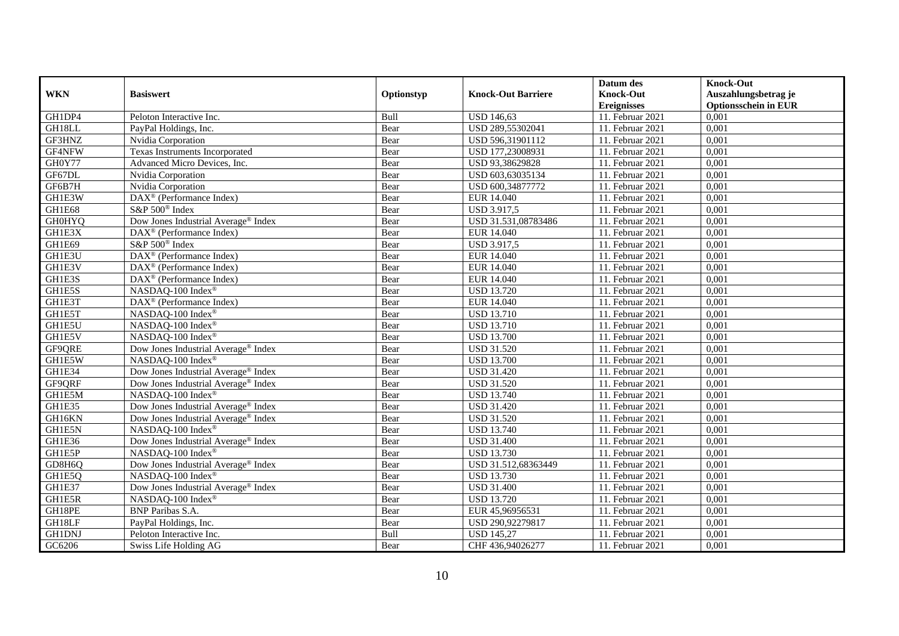|               |                                                 |            |                           | Datum des          | <b>Knock-Out</b>            |
|---------------|-------------------------------------------------|------------|---------------------------|--------------------|-----------------------------|
| <b>WKN</b>    | <b>Basiswert</b>                                | Optionstyp | <b>Knock-Out Barriere</b> | <b>Knock-Out</b>   | Auszahlungsbetrag je        |
|               |                                                 |            |                           | <b>Ereignisses</b> | <b>Optionsschein in EUR</b> |
| GH1DP4        | Peloton Interactive Inc.                        | Bull       | <b>USD 146,63</b>         | $11.$ Februar 2021 | 0,001                       |
| GH18LL        | PayPal Holdings, Inc.                           | Bear       | USD 289,55302041          | 11. Februar 2021   | 0,001                       |
| GF3HNZ        | Nvidia Corporation                              | Bear       | USD 596,31901112          | 11. Februar 2021   | 0,001                       |
| GF4NFW        | Texas Instruments Incorporated                  | Bear       | USD 177,23008931          | 11. Februar 2021   | 0,001                       |
| GH0Y77        | Advanced Micro Devices, Inc.                    | Bear       | USD 93,38629828           | 11. Februar 2021   | 0,001                       |
| GF67DL        | Nvidia Corporation                              | Bear       | USD 603,63035134          | 11. Februar 2021   | 0,001                       |
| GF6B7H        | Nvidia Corporation                              | Bear       | USD 600,34877772          | 11. Februar 2021   | 0,001                       |
| GH1E3W        | DAX <sup>®</sup> (Performance Index)            | Bear       | <b>EUR 14.040</b>         | 11. Februar 2021   | 0,001                       |
| <b>GH1E68</b> | S&P 500 <sup>®</sup> Index                      | Bear       | <b>USD 3.917,5</b>        | 11. Februar 2021   | 0,001                       |
| <b>GH0HYQ</b> | Dow Jones Industrial Average® Index             | Bear       | USD 31.531,08783486       | 11. Februar 2021   | 0,001                       |
| GH1E3X        | $\text{DAX}^{\circledast}$ (Performance Index)  | Bear       | <b>EUR 14.040</b>         | 11. Februar 2021   | 0,001                       |
| GH1E69        | S&P 500 <sup>®</sup> Index                      | Bear       | <b>USD 3.917,5</b>        | 11. Februar 2021   | 0,001                       |
| GH1E3U        | DAX <sup>®</sup> (Performance Index)            | Bear       | EUR 14.040                | 11. Februar 2021   | 0,001                       |
| GH1E3V        | $DAX^{\circledR}$ (Performance Index)           | Bear       | <b>EUR 14.040</b>         | 11. Februar 2021   | 0,001                       |
| GH1E3S        | DAX <sup>®</sup> (Performance Index)            | Bear       | <b>EUR 14.040</b>         | 11. Februar 2021   | 0,001                       |
| GH1E5S        | NASDAQ-100 Index®                               | Bear       | <b>USD 13.720</b>         | 11. Februar 2021   | 0,001                       |
| GH1E3T        | DAX <sup>®</sup> (Performance Index)            | Bear       | <b>EUR 14.040</b>         | 11. Februar 2021   | 0,001                       |
| GH1E5T        | NASDAO-100 Index <sup>®</sup>                   | Bear       | <b>USD 13.710</b>         | 11. Februar 2021   | 0,001                       |
| GH1E5U        | NASDAQ-100 Index®                               | Bear       | <b>USD 13.710</b>         | 11. Februar 2021   | 0,001                       |
| GH1E5V        | NASDAQ-100 Index®                               | Bear       | <b>USD 13.700</b>         | 11. Februar 2021   | 0,001                       |
| GF9QRE        | Dow Jones Industrial Average® Index             | Bear       | <b>USD 31.520</b>         | 11. Februar 2021   | 0,001                       |
| GH1E5W        | NASDAQ-100 Index®                               | Bear       | <b>USD 13.700</b>         | 11. Februar 2021   | 0,001                       |
| GH1E34        | Dow Jones Industrial Average® Index             | Bear       | <b>USD 31.420</b>         | 11. Februar 2021   | 0,001                       |
| GF9QRF        | Dow Jones Industrial Average® Index             | Bear       | <b>USD 31.520</b>         | 11. Februar 2021   | 0,001                       |
| GH1E5M        | NASDAO-100 Index <sup>®</sup>                   | Bear       | <b>USD 13.740</b>         | 11. Februar 2021   | 0,001                       |
| GH1E35        | Dow Jones Industrial Average <sup>®</sup> Index | Bear       | <b>USD 31.420</b>         | 11. Februar 2021   | 0,001                       |
| GH16KN        | Dow Jones Industrial Average® Index             | Bear       | <b>USD 31.520</b>         | 11. Februar 2021   | 0,001                       |
| GH1E5N        | NASDAQ-100 Index®                               | Bear       | <b>USD 13.740</b>         | 11. Februar 2021   | 0,001                       |
| GH1E36        | Dow Jones Industrial Average® Index             | Bear       | <b>USD 31.400</b>         | 11. Februar 2021   | 0,001                       |
| GH1E5P        | NASDAQ-100 Index®                               | Bear       | <b>USD 13.730</b>         | 11. Februar 2021   | 0,001                       |
| GD8H6Q        | Dow Jones Industrial Average® Index             | Bear       | USD 31.512,68363449       | 11. Februar 2021   | 0,001                       |
| GH1E5Q        | NASDAQ-100 Index®                               | Bear       | <b>USD 13.730</b>         | 11. Februar 2021   | 0,001                       |
| GH1E37        | Dow Jones Industrial Average® Index             | Bear       | <b>USD 31.400</b>         | 11. Februar 2021   | 0,001                       |
| GH1E5R        | NASDAQ-100 Index®                               | Bear       | <b>USD 13.720</b>         | 11. Februar 2021   | 0,001                       |
| GH18PE        | <b>BNP</b> Paribas S.A.                         | Bear       | EUR 45,96956531           | 11. Februar 2021   | 0,001                       |
| GH18LF        | PayPal Holdings, Inc.                           | Bear       | USD 290,92279817          | 11. Februar 2021   | 0,001                       |
| <b>GH1DNJ</b> | Peloton Interactive Inc.                        | Bull       | <b>USD 145,27</b>         | 11. Februar 2021   | 0,001                       |
| GC6206        | Swiss Life Holding AG                           | Bear       | CHF 436,94026277          | 11. Februar 2021   | 0,001                       |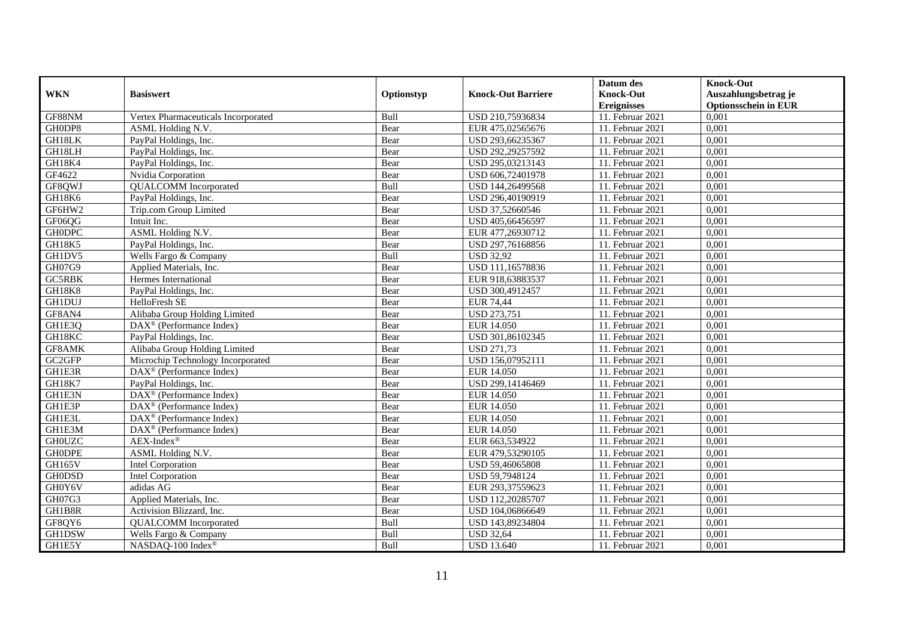|               |                                       |            |                           | Datum des          | <b>Knock-Out</b>            |
|---------------|---------------------------------------|------------|---------------------------|--------------------|-----------------------------|
| <b>WKN</b>    | <b>Basiswert</b>                      | Optionstyp | <b>Knock-Out Barriere</b> | <b>Knock-Out</b>   | Auszahlungsbetrag je        |
|               |                                       |            |                           | <b>Ereignisses</b> | <b>Optionsschein in EUR</b> |
| GF88NM        | Vertex Pharmaceuticals Incorporated   | Bull       | USD 210,75936834          | 11. Februar 2021   | 0,001                       |
| GH0DP8        | ASML Holding N.V.                     | Bear       | EUR 475,02565676          | 11. Februar 2021   | 0,001                       |
| GH18LK        | PayPal Holdings, Inc.                 | Bear       | USD 293,66235367          | 11. Februar 2021   | 0,001                       |
| GH18LH        | PayPal Holdings, Inc.                 | Bear       | USD 292,29257592          | 11. Februar 2021   | 0,001                       |
| GH18K4        | PayPal Holdings, Inc.                 | Bear       | USD 295,03213143          | 11. Februar 2021   | 0,001                       |
| GF4622        | Nvidia Corporation                    | Bear       | USD 606,72401978          | 11. Februar 2021   | 0,001                       |
| GF8QWJ        | <b>QUALCOMM</b> Incorporated          | Bull       | USD 144,26499568          | 11. Februar 2021   | 0,001                       |
| GH18K6        | PayPal Holdings, Inc.                 | Bear       | USD 296,40190919          | 11. Februar 2021   | 0,001                       |
| GF6HW2        | Trip.com Group Limited                | Bear       | USD 37,52660546           | 11. Februar 2021   | 0,001                       |
| GF06QG        | Intuit Inc.                           | Bear       | USD 405,66456597          | 11. Februar 2021   | 0,001                       |
| <b>GH0DPC</b> | ASML Holding N.V.                     | Bear       | EUR 477,26930712          | 11. Februar 2021   | 0,001                       |
| GH18K5        | PayPal Holdings, Inc.                 | Bear       | USD 297,76168856          | 11. Februar 2021   | 0,001                       |
| GH1DV5        | Wells Fargo & Company                 | Bull       | <b>USD 32,92</b>          | 11. Februar 2021   | 0,001                       |
| GH07G9        | Applied Materials, Inc.               | Bear       | USD 111,16578836          | 11. Februar 2021   | 0,001                       |
| GC5RBK        | Hermes International                  | Bear       | EUR 918,63883537          | 11. Februar 2021   | 0,001                       |
| <b>GH18K8</b> | PayPal Holdings, Inc.                 | Bear       | USD 300,4912457           | 11. Februar 2021   | 0,001                       |
| <b>GH1DUJ</b> | HelloFresh SE                         | Bear       | <b>EUR 74,44</b>          | 11. Februar 2021   | 0,001                       |
| GF8AN4        | Alibaba Group Holding Limited         | Bear       | <b>USD 273,751</b>        | 11. Februar 2021   | 0,001                       |
| GH1E3Q        | DAX <sup>®</sup> (Performance Index)  | Bear       | <b>EUR 14.050</b>         | 11. Februar 2021   | 0,001                       |
| GH18KC        | PayPal Holdings, Inc.                 | Bear       | USD 301,86102345          | 11. Februar 2021   | 0,001                       |
| GF8AMK        | Alibaba Group Holding Limited         | Bear       | <b>USD 271,73</b>         | 11. Februar 2021   | 0,001                       |
| GC2GFP        | Microchip Technology Incorporated     | Bear       | USD 156,07952111          | 11. Februar 2021   | 0,001                       |
| GH1E3R        | DAX <sup>®</sup> (Performance Index)  | Bear       | EUR 14.050                | 11. Februar 2021   | 0,001                       |
| <b>GH18K7</b> | PayPal Holdings, Inc.                 | Bear       | USD 299,14146469          | 11. Februar 2021   | 0,001                       |
| GH1E3N        | $DAX^{\circledR}$ (Performance Index) | Bear       | EUR 14.050                | 11. Februar 2021   | 0.001                       |
| GH1E3P        | DAX <sup>®</sup> (Performance Index)  | Bear       | EUR 14.050                | 11. Februar 2021   | 0,001                       |
| GH1E3L        | DAX <sup>®</sup> (Performance Index)  | Bear       | <b>EUR 14.050</b>         | 11. Februar 2021   | 0,001                       |
| GH1E3M        | DAX <sup>®</sup> (Performance Index)  | Bear       | <b>EUR 14.050</b>         | 11. Februar 2021   | 0,001                       |
| <b>GHOUZC</b> | $AEX-Index^{\circledR}$               | Bear       | EUR 663,534922            | 11. Februar 2021   | 0,001                       |
| <b>GHODPE</b> | ASML Holding N.V.                     | Bear       | EUR 479,53290105          | 11. Februar 2021   | 0,001                       |
| GH165V        | <b>Intel Corporation</b>              | Bear       | USD 59,46065808           | 11. Februar 2021   | 0,001                       |
| <b>GH0DSD</b> | Intel Corporation                     | Bear       | USD 59,7948124            | 11. Februar 2021   | 0,001                       |
| GH0Y6V        | adidas AG                             | Bear       | EUR 293,37559623          | 11. Februar 2021   | 0,001                       |
| GH07G3        | Applied Materials, Inc.               | Bear       | USD 112,20285707          | 11. Februar 2021   | 0,001                       |
| GH1B8R        | Activision Blizzard, Inc.             | Bear       | USD 104,06866649          | 11. Februar 2021   | 0,001                       |
| GF8QY6        | <b>QUALCOMM</b> Incorporated          | Bull       | USD 143,89234804          | 11. Februar 2021   | 0,001                       |
| GH1DSW        | Wells Fargo & Company                 | Bull       | <b>USD 32,64</b>          | 11. Februar 2021   | 0,001                       |
| GH1E5Y        | NASDAQ-100 Index®                     | Bull       | <b>USD 13.640</b>         | 11. Februar 2021   | 0,001                       |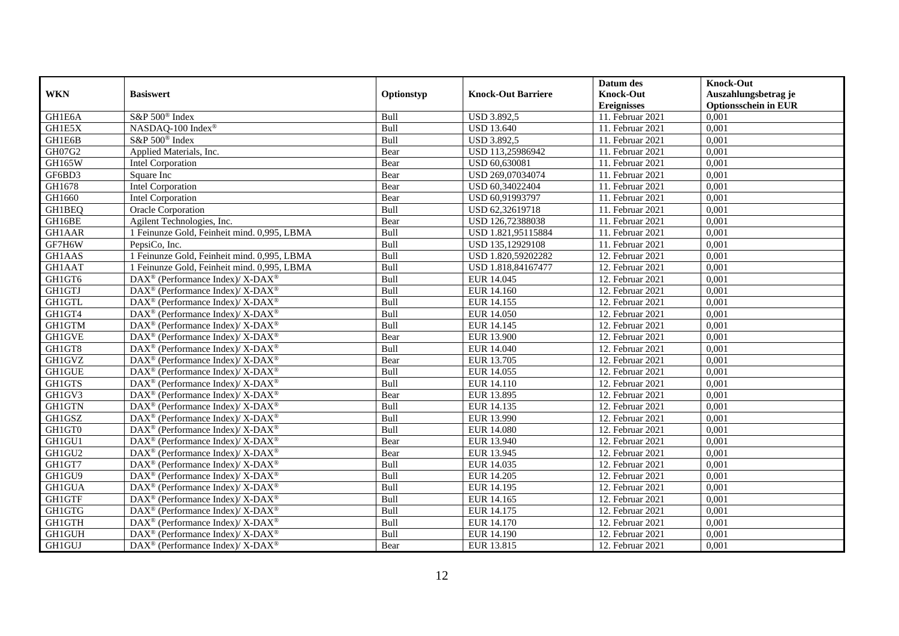|               |                                                                                        |            |                           | Datum des          | <b>Knock-Out</b>            |
|---------------|----------------------------------------------------------------------------------------|------------|---------------------------|--------------------|-----------------------------|
| <b>WKN</b>    | <b>Basiswert</b>                                                                       | Optionstyp | <b>Knock-Out Barriere</b> | <b>Knock-Out</b>   | Auszahlungsbetrag je        |
|               |                                                                                        |            |                           | <b>Ereignisses</b> | <b>Optionsschein in EUR</b> |
| GH1E6A        | S&P 500 <sup>®</sup> Index                                                             | Bull       | <b>USD 3.892,5</b>        | 11. Februar 2021   | 0,001                       |
| GH1E5X        | NASDAQ-100 Index®                                                                      | Bull       | <b>USD 13.640</b>         | 11. Februar 2021   | 0,001                       |
| GH1E6B        | S&P 500 <sup>®</sup> Index                                                             | Bull       | <b>USD 3.892,5</b>        | 11. Februar 2021   | 0,001                       |
| GH07G2        | Applied Materials, Inc.                                                                | Bear       | USD 113,25986942          | 11. Februar 2021   | 0,001                       |
| GH165W        | Intel Corporation                                                                      | Bear       | USD 60,630081             | 11. Februar 2021   | 0,001                       |
| GF6BD3        | Square Inc                                                                             | Bear       | USD 269,07034074          | 11. Februar 2021   | 0,001                       |
| GH1678        | Intel Corporation                                                                      | Bear       | USD 60,34022404           | 11. Februar 2021   | 0,001                       |
| GH1660        | Intel Corporation                                                                      | Bear       | USD 60,91993797           | 11. Februar 2021   | 0,001                       |
| GH1BEQ        | <b>Oracle Corporation</b>                                                              | Bull       | USD 62,32619718           | 11. Februar 2021   | 0,001                       |
| GH16BE        | Agilent Technologies, Inc.                                                             | Bear       | USD 126,72388038          | 11. Februar 2021   | 0,001                       |
| GH1AAR        | 1 Feinunze Gold, Feinheit mind. 0,995, LBMA                                            | Bull       | USD 1.821,95115884        | 11. Februar 2021   | 0,001                       |
| GF7H6W        | PepsiCo, Inc.                                                                          | Bull       | USD 135,12929108          | 11. Februar 2021   | 0,001                       |
| <b>GH1AAS</b> | 1 Feinunze Gold, Feinheit mind. 0,995, LBMA                                            | Bull       | USD 1.820,59202282        | 12. Februar 2021   | 0,001                       |
| GH1AAT        | 1 Feinunze Gold, Feinheit mind. 0,995, LBMA                                            | Bull       | USD 1.818,84167477        | 12. Februar 2021   | 0,001                       |
| GH1GT6        | $\text{DAX}^{\circledR}$ (Performance Index)/ X-DAX <sup>®</sup>                       | Bull       | EUR 14.045                | 12. Februar 2021   | 0,001                       |
| GH1GTJ        | $\text{DAX}^{\circledR}$ (Performance Index)/ X-DAX <sup>®</sup>                       | Bull       | EUR 14.160                | 12. Februar 2021   | 0,001                       |
| GH1GTL        | DAX <sup>®</sup> (Performance Index)/ X-DAX <sup>®</sup>                               | Bull       | EUR 14.155                | 12. Februar 2021   | 0,001                       |
| GH1GT4        | $\text{DAX}^{\circledR}$ (Performance Index)/ X-DAX <sup>®</sup>                       | Bull       | <b>EUR 14.050</b>         | $12.$ Februar 2021 | 0,001                       |
| GH1GTM        | $\text{DAX}^{\otimes}$ (Performance Index)/X-DAX <sup>®</sup>                          | Bull       | EUR 14.145                | 12. Februar 2021   | 0,001                       |
| GH1GVE        | $\text{DAX}^{\circledast}$ (Performance Index)/ X-DAX <sup>®</sup>                     | Bear       | EUR 13.900                | 12. Februar 2021   | 0,001                       |
| GH1GT8        | DAX <sup>®</sup> (Performance Index)/X-DAX <sup>®</sup>                                | Bull       | EUR 14.040                | 12. Februar 2021   | 0,001                       |
| GH1GVZ        | $\text{DAX}^{\circledast}$ (Performance Index)/ X-DAX <sup>®</sup>                     | Bear       | EUR 13.705                | 12. Februar 2021   | 0,001                       |
| <b>GH1GUE</b> | $\text{DAX}^{\circledR}$ (Performance Index)/ X-DAX <sup>®</sup>                       | Bull       | EUR 14.055                | $12.$ Februar 2021 | 0,001                       |
| <b>GH1GTS</b> | $DAX^{\circledast}$ (Performance Index)/X-DAX <sup>®</sup>                             | Bull       | EUR 14.110                | 12. Februar 2021   | 0,001                       |
| GH1GV3        | $\overline{\text{DAX}^{\textcircled{\tiny 0}}}$ (Performance Index)/X-DAX <sup>®</sup> | Bear       | EUR 13.895                | 12. Februar 2021   | 0,001                       |
| GH1GTN        | DAX <sup>®</sup> (Performance Index)/ X-DAX <sup>®</sup>                               | Bull       | EUR 14.135                | 12. Februar 2021   | 0,001                       |
| GH1GSZ        | $\text{DAX}^{\circledast}$ (Performance Index)/ X-DAX <sup>®</sup>                     | Bull       | EUR 13.990                | 12. Februar 2021   | 0,001                       |
| GH1GT0        | $\text{DAX}^{\circledast}$ (Performance Index)/ X-DAX <sup>®</sup>                     | Bull       | <b>EUR 14.080</b>         | 12. Februar 2021   | 0,001                       |
| GH1GU1        | $\text{DAX}^{\circledR}$ (Performance Index)/ X-DAX <sup>®</sup>                       | Bear       | EUR 13.940                | 12. Februar 2021   | 0,001                       |
| GH1GU2        | $DAX^{\circledcirc}$ (Performance Index)/ X-DAX <sup>®</sup>                           | Bear       | EUR 13.945                | 12. Februar 2021   | 0.001                       |
| GH1GT7        | $DAX^{\circledcirc}$ (Performance Index)/ X-DAX <sup>®</sup>                           | Bull       | EUR 14.035                | 12. Februar 2021   | 0,001                       |
| GH1GU9        | $\overline{\text{DAX}^{\otimes}}$ (Performance Index)/X-DAX <sup>®</sup>               | Bull       | EUR 14.205                | 12. Februar 2021   | 0,001                       |
| <b>GH1GUA</b> | $\text{DAX}^{\circledast}$ (Performance Index)/ X-DAX <sup>®</sup>                     | Bull       | EUR 14.195                | 12. Februar 2021   | 0,001                       |
| <b>GH1GTF</b> | $\text{DAX}^{\circledR}$ (Performance Index)/ X-DAX <sup>®</sup>                       | Bull       | EUR 14.165                | 12. Februar 2021   | 0,001                       |
| <b>GH1GTG</b> | $\text{DAX}^{\circledR}$ (Performance Index)/ X-DAX <sup>®</sup>                       | Bull       | EUR 14.175                | 12. Februar 2021   | 0,001                       |
| GH1GTH        | $\text{DAX}^{\otimes}$ (Performance Index)/X-DAX <sup>®</sup>                          | Bull       | <b>EUR 14.170</b>         | 12. Februar 2021   | 0,001                       |
| GH1GUH        | DAX <sup>®</sup> (Performance Index)/ X-DAX <sup>®</sup>                               | Bull       | EUR 14.190                | 12. Februar 2021   | 0,001                       |
| <b>GH1GUJ</b> | DAX <sup>®</sup> (Performance Index)/ X-DAX <sup>®</sup>                               | Bear       | EUR 13.815                | 12. Februar 2021   | 0,001                       |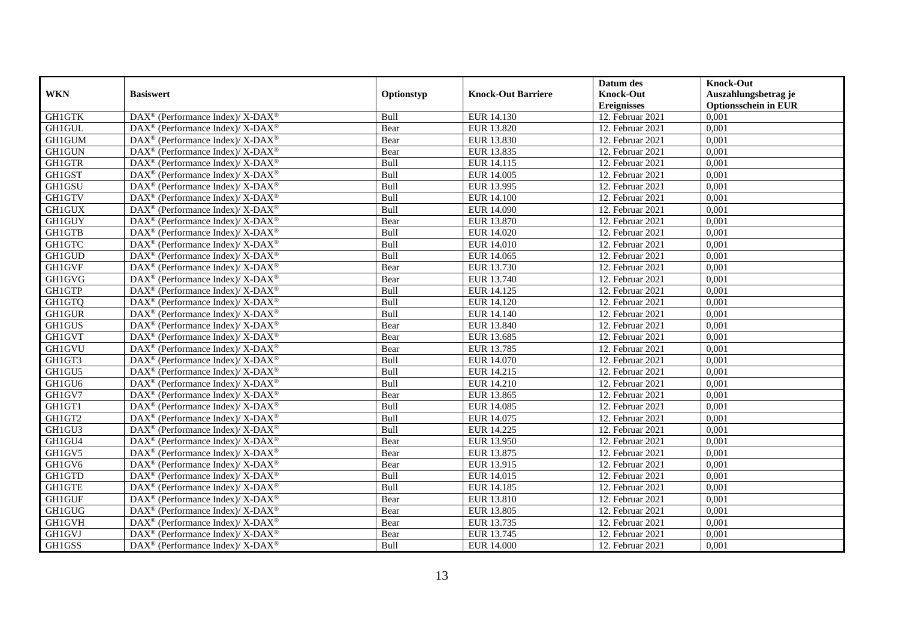|               |                                                                   |            |                           | Datum des          | <b>Knock-Out</b>            |
|---------------|-------------------------------------------------------------------|------------|---------------------------|--------------------|-----------------------------|
| <b>WKN</b>    | <b>Basiswert</b>                                                  | Optionstyp | <b>Knock-Out Barriere</b> | <b>Knock-Out</b>   | Auszahlungsbetrag je        |
|               |                                                                   |            |                           | <b>Ereignisses</b> | <b>Optionsschein in EUR</b> |
| <b>GH1GTK</b> | DAX <sup>®</sup> (Performance Index)/ X-DAX <sup>®</sup>          | Bull       | EUR 14.130                | 12. Februar 2021   | 0,001                       |
| <b>GH1GUL</b> | $DAX^{\circledast}$ (Performance Index)/ X-DAX <sup>®</sup>       | Bear       | EUR 13.820                | 12. Februar 2021   | 0,001                       |
| GH1GUM        | DAX <sup>®</sup> (Performance Index)/ X-DAX <sup>®</sup>          | Bear       | EUR 13.830                | 12. Februar 2021   | 0,001                       |
| GH1GUN        | $DAX^{\circledast}$ (Performance Index)/ X-DAX <sup>®</sup>       | Bear       | EUR 13.835                | 12. Februar 2021   | 0,001                       |
| GH1GTR        | DAX <sup>®</sup> (Performance Index)/X-DAX <sup>®</sup>           | Bull       | EUR 14.115                | 12. Februar 2021   | 0,001                       |
| GH1GST        | DAX <sup>®</sup> (Performance Index)/ X-DAX <sup>®</sup>          | Bull       | EUR 14.005                | 12. Februar 2021   | 0,001                       |
| <b>GH1GSU</b> | DAX <sup>®</sup> (Performance Index)/ X-DAX <sup>®</sup>          | Bull       | EUR 13.995                | 12. Februar 2021   | 0,001                       |
| GH1GTV        | $DAX^{\circledast}$ (Performance Index)/ X-DAX <sup>®</sup>       | Bull       | <b>EUR 14.100</b>         | 12. Februar 2021   | 0,001                       |
| <b>GH1GUX</b> | DAX <sup>®</sup> (Performance Index)/ X-DAX <sup>®</sup>          | Bull       | EUR 14.090                | 12. Februar 2021   | 0,001                       |
| <b>GH1GUY</b> | DAX <sup>®</sup> (Performance Index)/ X-DAX <sup>®</sup>          | Bear       | EUR 13.870                | 12. Februar 2021   | 0,001                       |
| GH1GTB        | DAX <sup>®</sup> (Performance Index)/X-DAX <sup>®</sup>           | Bull       | EUR 14.020                | 12. Februar 2021   | 0,001                       |
| <b>GH1GTC</b> | DAX <sup>®</sup> (Performance Index)/ X-DAX <sup>®</sup>          | Bull       | <b>EUR 14.010</b>         | 12. Februar 2021   | 0,001                       |
| GH1GUD        | $DAX^{\circledast}$ (Performance Index)/ X-DAX <sup>®</sup>       | Bull       | EUR 14.065                | 12. Februar 2021   | 0,001                       |
| GH1GVF        | DAX <sup>®</sup> (Performance Index)/ X-DAX <sup>®</sup>          | Bear       | EUR 13.730                | 12. Februar 2021   | 0,001                       |
| GH1GVG        | DAX <sup>®</sup> (Performance Index)/ X-DAX <sup>®</sup>          | Bear       | EUR 13.740                | 12. Februar 2021   | 0,001                       |
| GH1GTP        | DAX <sup>®</sup> (Performance Index)/ X-DAX <sup>®</sup>          | Bull       | EUR 14.125                | 12. Februar 2021   | 0,001                       |
| GH1GTQ        | DAX <sup>®</sup> (Performance Index)/ X-DAX <sup>®</sup>          | Bull       | EUR 14.120                | 12. Februar 2021   | 0,001                       |
| GH1GUR        | $DAX^{\circledast}$ (Performance Index)/ X-DAX <sup>®</sup>       | Bull       | EUR 14.140                | 12. Februar 2021   | 0,001                       |
| GH1GUS        | $DAX^{\circledast}$ (Performance Index)/ X-DAX <sup>®</sup>       | Bear       | EUR 13.840                | 12. Februar 2021   | 0,001                       |
| GH1GVT        | DAX <sup>®</sup> (Performance Index)/X-DAX <sup>®</sup>           | Bear       | EUR 13.685                | 12. Februar 2021   | 0,001                       |
| GH1GVU        | DAX <sup>®</sup> (Performance Index)/X-DAX <sup>®</sup>           | Bear       | EUR 13.785                | 12. Februar 2021   | 0,001                       |
| GH1GT3        | $\text{DAX}^{\circledast}$ (Performance Index)/X-DAX <sup>®</sup> | Bull       | EUR 14.070                | 12. Februar 2021   | 0,001                       |
| GH1GU5        | DAX <sup>®</sup> (Performance Index)/ X-DAX <sup>®</sup>          | Bull       | EUR 14.215                | 12. Februar 2021   | 0,001                       |
| GH1GU6        | $DAX^{\circledast}$ (Performance Index)/ X-DAX <sup>®</sup>       | Bull       | EUR 14.210                | 12. Februar 2021   | 0,001                       |
| GH1GV7        | DAX <sup>®</sup> (Performance Index)/ X-DAX <sup>®</sup>          | Bear       | EUR 13.865                | 12. Februar 2021   | 0.001                       |
| GH1GT1        | DAX <sup>®</sup> (Performance Index)/ X-DAX <sup>®</sup>          | Bull       | EUR 14.085                | 12. Februar 2021   | 0,001                       |
| GH1GT2        | DAX <sup>®</sup> (Performance Index)/ X-DAX <sup>®</sup>          | Bull       | EUR 14.075                | 12. Februar 2021   | 0,001                       |
| GH1GU3        | DAX <sup>®</sup> (Performance Index)/ X-DAX <sup>®</sup>          | Bull       | EUR 14.225                | 12. Februar 2021   | 0,001                       |
| GH1GU4        | DAX <sup>®</sup> (Performance Index)/ X-DAX <sup>®</sup>          | Bear       | EUR 13.950                | 12. Februar 2021   | 0,001                       |
| GH1GV5        | $\text{DAX}^{\circledast}$ (Performance Index)/X-DAX <sup>®</sup> | Bear       | EUR 13.875                | 12. Februar 2021   | 0,001                       |
| GH1GV6        | $DAX^{\circledast}$ (Performance Index)/ X-DAX <sup>®</sup>       | Bear       | EUR 13.915                | 12. Februar 2021   | 0,001                       |
| GH1GTD        | DAX <sup>®</sup> (Performance Index)/X-DAX <sup>®</sup>           | Bull       | EUR 14.015                | 12. Februar 2021   | 0,001                       |
| <b>GH1GTE</b> | $DAX^{\circledast}$ (Performance Index)/ X-DAX <sup>®</sup>       | Bull       | EUR 14.185                | 12. Februar 2021   | 0,001                       |
| <b>GH1GUF</b> | DAX <sup>®</sup> (Performance Index)/ X-DAX <sup>®</sup>          | Bear       | EUR 13.810                | 12. Februar 2021   | 0,001                       |
| <b>GH1GUG</b> | DAX <sup>®</sup> (Performance Index)/ X-DAX <sup>®</sup>          | Bear       | EUR 13.805                | 12. Februar 2021   | 0,001                       |
| GH1GVH        | $\text{DAX}^{\circledast}$ (Performance Index)/X-DAX <sup>®</sup> | Bear       | EUR 13.735                | 12. Februar 2021   | 0,001                       |
| GH1GVJ        | DAX <sup>®</sup> (Performance Index)/ X-DAX <sup>®</sup>          | Bear       | EUR 13.745                | 12. Februar 2021   | 0,001                       |
| GH1GSS        | DAX <sup>®</sup> (Performance Index)/ X-DAX <sup>®</sup>          | Bull       | <b>EUR 14.000</b>         | 12. Februar 2021   | 0,001                       |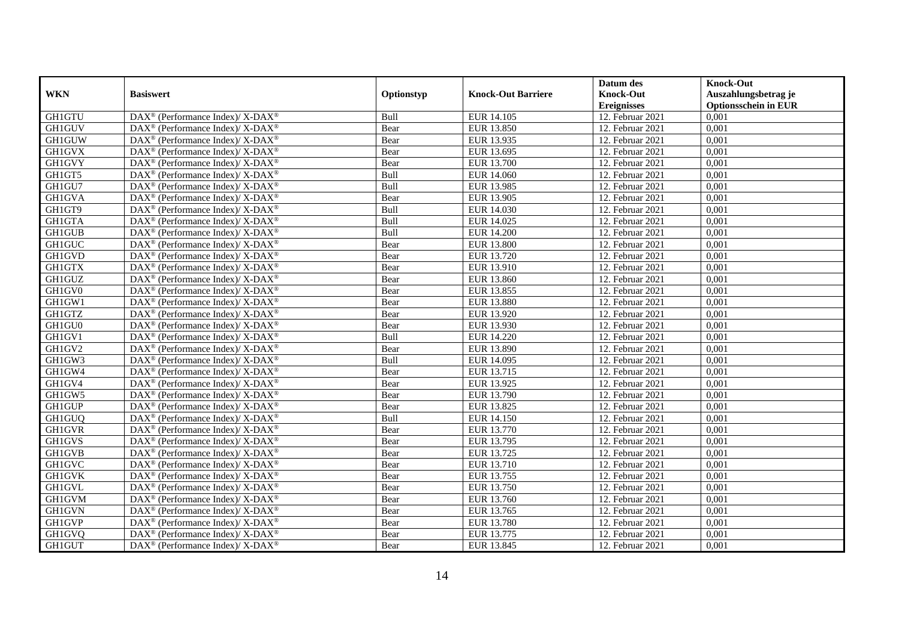|               |                                                                   |            |                           | Datum des          | <b>Knock-Out</b>            |
|---------------|-------------------------------------------------------------------|------------|---------------------------|--------------------|-----------------------------|
| <b>WKN</b>    | <b>Basiswert</b>                                                  | Optionstyp | <b>Knock-Out Barriere</b> | <b>Knock-Out</b>   | Auszahlungsbetrag je        |
|               |                                                                   |            |                           | <b>Ereignisses</b> | <b>Optionsschein in EUR</b> |
| <b>GH1GTU</b> | DAX <sup>®</sup> (Performance Index)/ X-DAX <sup>®</sup>          | Bull       | EUR 14.105                | 12. Februar 2021   | 0,001                       |
| GH1GUV        | $DAX^{\circledast}$ (Performance Index)/ X-DAX <sup>®</sup>       | Bear       | EUR 13.850                | 12. Februar 2021   | 0,001                       |
| GH1GUW        | DAX <sup>®</sup> (Performance Index)/X-DAX <sup>®</sup>           | Bear       | EUR 13.935                | 12. Februar 2021   | 0,001                       |
| GH1GVX        | $DAX^{\circledast}$ (Performance Index)/ X-DAX <sup>®</sup>       | Bear       | EUR 13.695                | 12. Februar 2021   | 0,001                       |
| GH1GVY        | DAX <sup>®</sup> (Performance Index)/X-DAX <sup>®</sup>           | Bear       | EUR 13.700                | 12. Februar 2021   | 0,001                       |
| GH1GT5        | DAX <sup>®</sup> (Performance Index)/ X-DAX <sup>®</sup>          | Bull       | EUR 14.060                | 12. Februar 2021   | 0,001                       |
| GH1GU7        | DAX <sup>®</sup> (Performance Index)/ X-DAX <sup>®</sup>          | Bull       | EUR 13.985                | 12. Februar 2021   | 0,001                       |
| GH1GVA        | $DAX^{\circledast}$ (Performance Index)/ X-DAX <sup>®</sup>       | Bear       | EUR 13.905                | 12. Februar 2021   | 0,001                       |
| GH1GT9        | DAX <sup>®</sup> (Performance Index)/ X-DAX <sup>®</sup>          | Bull       | EUR 14.030                | 12. Februar 2021   | 0,001                       |
| <b>GH1GTA</b> | DAX <sup>®</sup> (Performance Index)/ X-DAX <sup>®</sup>          | Bull       | EUR 14.025                | 12. Februar 2021   | 0,001                       |
| GH1GUB        | DAX <sup>®</sup> (Performance Index)/X-DAX <sup>®</sup>           | Bull       | <b>EUR 14.200</b>         | 12. Februar 2021   | 0,001                       |
| <b>GH1GUC</b> | DAX <sup>®</sup> (Performance Index)/ X-DAX <sup>®</sup>          | Bear       | <b>EUR 13.800</b>         | 12. Februar 2021   | 0,001                       |
| <b>GH1GVD</b> | $DAX^{\circledast}$ (Performance Index)/ X-DAX <sup>®</sup>       | Bear       | EUR 13.720                | 12. Februar 2021   | 0,001                       |
| GH1GTX        | DAX <sup>®</sup> (Performance Index)/X-DAX <sup>®</sup>           | Bear       | EUR 13.910                | 12. Februar 2021   | 0,001                       |
| GH1GUZ        | DAX <sup>®</sup> (Performance Index)/ X-DAX <sup>®</sup>          | Bear       | EUR 13.860                | 12. Februar 2021   | 0,001                       |
| GH1GV0        | DAX <sup>®</sup> (Performance Index)/ X-DAX <sup>®</sup>          | Bear       | EUR 13.855                | 12. Februar 2021   | 0,001                       |
| GH1GW1        | DAX <sup>®</sup> (Performance Index)/ X-DAX <sup>®</sup>          | Bear       | EUR 13.880                | 12. Februar 2021   | 0,001                       |
| GH1GTZ        | $DAX^{\circledast}$ (Performance Index)/ X-DAX <sup>®</sup>       | Bear       | EUR 13.920                | 12. Februar 2021   | 0,001                       |
| GH1GU0        | $DAX^{\circledast}$ (Performance Index)/ X-DAX <sup>®</sup>       | Bear       | EUR 13.930                | 12. Februar 2021   | 0,001                       |
| GH1GV1        | DAX <sup>®</sup> (Performance Index)/X-DAX <sup>®</sup>           | Bull       | <b>EUR 14.220</b>         | 12. Februar 2021   | 0,001                       |
| GH1GV2        | DAX <sup>®</sup> (Performance Index)/X-DAX <sup>®</sup>           | Bear       | EUR 13.890                | 12. Februar 2021   | 0,001                       |
| GH1GW3        | $\text{DAX}^{\circledast}$ (Performance Index)/X-DAX <sup>®</sup> | Bull       | EUR 14.095                | 12. Februar 2021   | 0,001                       |
| GH1GW4        | DAX <sup>®</sup> (Performance Index)/ X-DAX <sup>®</sup>          | Bear       | EUR 13.715                | 12. Februar 2021   | 0,001                       |
| GH1GV4        | $DAX^{\circledast}$ (Performance Index)/ X-DAX <sup>®</sup>       | Bear       | EUR 13.925                | 12. Februar 2021   | 0,001                       |
| GH1GW5        | DAX <sup>®</sup> (Performance Index)/ X-DAX <sup>®</sup>          | Bear       | EUR 13.790                | 12. Februar 2021   | 0.001                       |
| GH1GUP        | $DAX^{\circledast}$ (Performance Index)/ X-DAX <sup>®</sup>       | Bear       | EUR 13.825                | 12. Februar 2021   | 0,001                       |
| GH1GUQ        | DAX <sup>®</sup> (Performance Index)/ X-DAX <sup>®</sup>          | Bull       | <b>EUR 14.150</b>         | 12. Februar 2021   | 0,001                       |
| <b>GH1GVR</b> | DAX <sup>®</sup> (Performance Index)/ X-DAX <sup>®</sup>          | Bear       | EUR 13.770                | 12. Februar 2021   | 0,001                       |
| GH1GVS        | DAX <sup>®</sup> (Performance Index)/ X-DAX <sup>®</sup>          | Bear       | EUR 13.795                | 12. Februar 2021   | 0,001                       |
| GH1GVB        | $\text{DAX}^{\circledast}$ (Performance Index)/X-DAX <sup>®</sup> | Bear       | EUR 13.725                | 12. Februar 2021   | 0,001                       |
| GH1GVC        | $DAX^{\circledast}$ (Performance Index)/ X-DAX <sup>®</sup>       | Bear       | EUR 13.710                | 12. Februar 2021   | 0,001                       |
| <b>GH1GVK</b> | DAX <sup>®</sup> (Performance Index)/X-DAX <sup>®</sup>           | Bear       | EUR 13.755                | 12. Februar 2021   | 0,001                       |
| <b>GH1GVL</b> | $DAX^{\circledast}$ (Performance Index)/ X-DAX <sup>®</sup>       | Bear       | EUR 13.750                | 12. Februar 2021   | 0,001                       |
| <b>GH1GVM</b> | DAX <sup>®</sup> (Performance Index)/ X-DAX <sup>®</sup>          | Bear       | EUR 13.760                | 12. Februar 2021   | 0,001                       |
| <b>GH1GVN</b> | DAX <sup>®</sup> (Performance Index)/ X-DAX <sup>®</sup>          | Bear       | EUR 13.765                | 12. Februar 2021   | 0,001                       |
| GH1GVP        | $\text{DAX}^{\circledast}$ (Performance Index)/X-DAX <sup>®</sup> | Bear       | EUR 13.780                | 12. Februar 2021   | 0,001                       |
| GH1GVQ        | DAX <sup>®</sup> (Performance Index)/ X-DAX <sup>®</sup>          | Bear       | EUR 13.775                | 12. Februar 2021   | 0,001                       |
| GH1GUT        | DAX <sup>®</sup> (Performance Index)/ X-DAX <sup>®</sup>          | Bear       | EUR 13.845                | 12. Februar 2021   | 0,001                       |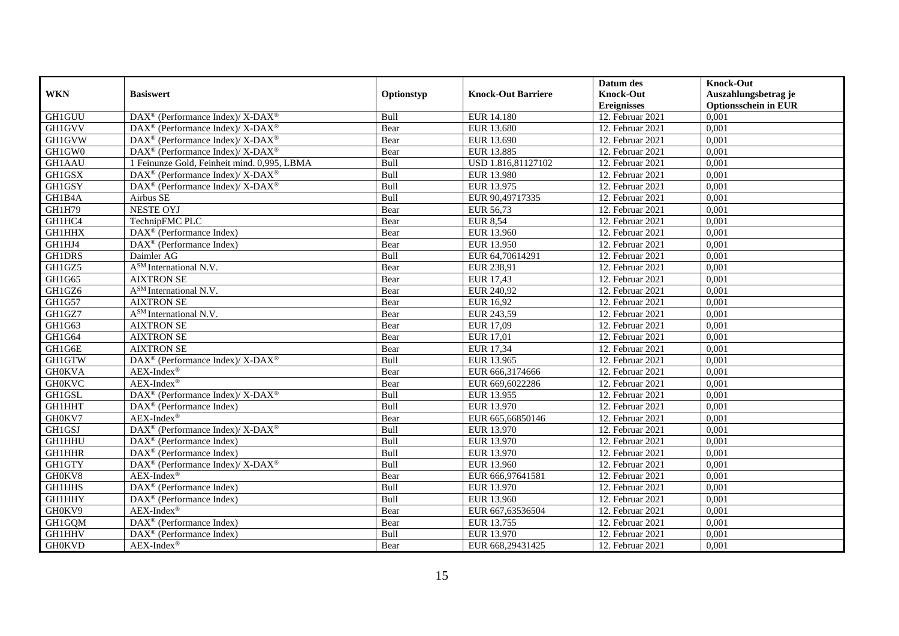|               |                                                                    |            |                           | Datum des          | <b>Knock-Out</b>            |
|---------------|--------------------------------------------------------------------|------------|---------------------------|--------------------|-----------------------------|
| <b>WKN</b>    | <b>Basiswert</b>                                                   | Optionstyp | <b>Knock-Out Barriere</b> | <b>Knock-Out</b>   | Auszahlungsbetrag je        |
|               |                                                                    |            |                           | <b>Ereignisses</b> | <b>Optionsschein in EUR</b> |
| <b>GH1GUU</b> | $\text{DAX}^{\circledR}$ (Performance Index)/ X-DAX <sup>®</sup>   | Bull       | <b>EUR 14.180</b>         | 12. Februar 2021   | 0,001                       |
| <b>GH1GVV</b> | $DAX^{\circledcirc}$ (Performance Index)/X-DAX <sup>®</sup>        | Bear       | EUR 13.680                | 12. Februar 2021   | 0,001                       |
| GH1GVW        | $\text{DAX}^{\circledast}$ (Performance Index)/ X-DAX <sup>®</sup> | Bear       | EUR 13.690                | 12. Februar 2021   | 0,001                       |
| GH1GW0        | DAX <sup>®</sup> (Performance Index)/ X-DAX <sup>®</sup>           | Bear       | EUR 13.885                | 12. Februar 2021   | 0,001                       |
| GH1AAU        | 1 Feinunze Gold, Feinheit mind. 0,995, LBMA                        | Bull       | USD 1.816,81127102        | 12. Februar 2021   | 0,001                       |
| GH1GSX        | $\text{DAX}^{\circledast}$ (Performance Index)/ X-DAX <sup>®</sup> | Bull       | EUR 13.980                | $12.$ Februar 2021 | 0,001                       |
| GH1GSY        | DAX <sup>®</sup> (Performance Index)/ X-DAX <sup>®</sup>           | Bull       | EUR 13.975                | 12. Februar 2021   | 0,001                       |
| GH1B4A        | Airbus SE                                                          | Bull       | EUR 90,49717335           | 12. Februar 2021   | 0,001                       |
| <b>GH1H79</b> | <b>NESTE OYJ</b>                                                   | Bear       | EUR 56,73                 | 12. Februar 2021   | 0,001                       |
| GH1HC4        | TechnipFMC PLC                                                     | Bear       | <b>EUR 8,54</b>           | 12. Februar 2021   | 0,001                       |
| <b>GH1HHX</b> | DAX <sup>®</sup> (Performance Index)                               | Bear       | EUR 13.960                | 12. Februar 2021   | 0,001                       |
| GH1HJ4        | $\overline{\text{DAX}^{\otimes}}$ (Performance Index)              | Bear       | EUR 13.950                | 12. Februar 2021   | 0,001                       |
| <b>GH1DRS</b> | Daimler AG                                                         | Bull       | EUR 64,70614291           | 12. Februar 2021   | 0,001                       |
| GH1GZ5        | A <sup>SM</sup> International N.V.                                 | Bear       | EUR 238,91                | 12. Februar 2021   | 0,001                       |
| GH1G65        | <b>AIXTRON SE</b>                                                  | Bear       | EUR 17,43                 | 12. Februar 2021   | 0,001                       |
| GH1GZ6        | A <sup>SM</sup> International N.V.                                 | Bear       | EUR 240,92                | 12. Februar 2021   | 0,001                       |
| GH1G57        | <b>AIXTRON SE</b>                                                  | Bear       | EUR 16,92                 | 12. Februar 2021   | 0,001                       |
| GH1GZ7        | A <sup>SM</sup> International N.V.                                 | Bear       | EUR 243.59                | 12. Februar 2021   | 0,001                       |
| GH1G63        | <b>AIXTRON SE</b>                                                  | Bear       | EUR 17,09                 | 12. Februar 2021   | 0,001                       |
| GH1G64        | <b>AIXTRON SE</b>                                                  | Bear       | EUR 17,01                 | 12. Februar 2021   | 0,001                       |
| GH1G6E        | <b>AIXTRON SE</b>                                                  | Bear       | EUR 17,34                 | 12. Februar 2021   | 0,001                       |
| <b>GH1GTW</b> | DAX <sup>®</sup> (Performance Index)/ X-DAX <sup>®</sup>           | Bull       | EUR 13.965                | 12. Februar 2021   | 0,001                       |
| <b>GH0KVA</b> | $AEX-Index^{\circledR}$                                            | Bear       | EUR 666,3174666           | $12.$ Februar 2021 | 0,001                       |
| <b>GH0KVC</b> | $AEX-Index^{\circledR}$                                            | Bear       | EUR 669,6022286           | 12. Februar 2021   | 0,001                       |
| GH1GSL        | DAX <sup>®</sup> (Performance Index)/ X-DAX <sup>®</sup>           | Bull       | EUR 13.955                | 12. Februar 2021   | 0,001                       |
| GH1HHT        | $\text{DAX}^{\otimes}$ (Performance Index)                         | Bull       | EUR 13.970                | 12. Februar 2021   | 0,001                       |
| GH0KV7        | $AEX-Index^{\circledR}$                                            | Bear       | EUR 665,66850146          | 12. Februar 2021   | 0,001                       |
| <b>GH1GSJ</b> | $DAX^{\circledast}$ (Performance Index)/ X-DAX <sup>®</sup>        | Bull       | EUR 13.970                | 12. Februar 2021   | 0,001                       |
| <b>GH1HHU</b> | $\text{DAX}^{\textcircled{p}}$ (Performance Index)                 | Bull       | EUR 13.970                | 12. Februar 2021   | 0,001                       |
| <b>GH1HHR</b> | DAX <sup>®</sup> (Performance Index)                               | Bull       | EUR 13.970                | 12. Februar 2021   | 0,001                       |
| GH1GTY        | DAX <sup>®</sup> (Performance Index)/ X-DAX <sup>®</sup>           | Bull       | EUR 13.960                | 12. Februar 2021   | 0,001                       |
| GH0KV8        | $AEX-Index^{\circledR}$                                            | Bear       | EUR 666,97641581          | 12. Februar 2021   | 0,001                       |
| <b>GH1HHS</b> | DAX <sup>®</sup> (Performance Index)                               | Bull       | EUR 13.970                | 12. Februar 2021   | 0,001                       |
| GH1HHY        | $\text{DAX}^{\textcircled{n}}$ (Performance Index)                 | Bull       | EUR 13.960                | $12.$ Februar 2021 | 0,001                       |
| GH0KV9        | $AEX-Index^{\circledR}$                                            | Bear       | EUR 667,63536504          | 12. Februar 2021   | 0,001                       |
| GH1GQM        | DAX <sup>®</sup> (Performance Index)                               | Bear       | EUR 13.755                | 12. Februar 2021   | 0,001                       |
| GH1HHV        | $\text{DAX}^{\circledast}$ (Performance Index)                     | Bull       | EUR 13.970                | 12. Februar 2021   | 0,001                       |
| <b>GH0KVD</b> | $AEX-Index^{\circledR}$                                            | Bear       | EUR 668,29431425          | 12. Februar 2021   | 0,001                       |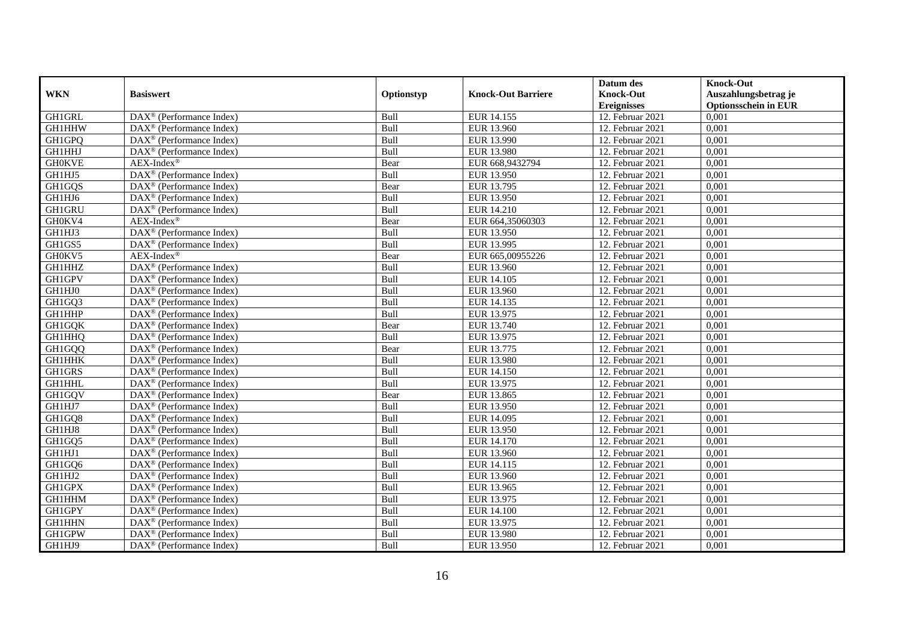|               |                                                         |             |                           | Datum des          | <b>Knock-Out</b>            |
|---------------|---------------------------------------------------------|-------------|---------------------------|--------------------|-----------------------------|
| <b>WKN</b>    | <b>Basiswert</b>                                        | Optionstyp  | <b>Knock-Out Barriere</b> | <b>Knock-Out</b>   | Auszahlungsbetrag je        |
|               |                                                         |             |                           | <b>Ereignisses</b> | <b>Optionsschein in EUR</b> |
| <b>GH1GRL</b> | $\overline{\text{DAX}^{\otimes}}$ (Performance Index)   | Bull        | EUR 14.155                | 12. Februar 2021   | 0,001                       |
| <b>GH1HHW</b> | $\text{DAX}^{\textcircled{p}}$ (Performance Index)      | Bull        | EUR 13.960                | 12. Februar 2021   | 0,001                       |
| GH1GPQ        | DAX <sup>®</sup> (Performance Index)                    | Bull        | EUR 13.990                | 12. Februar 2021   | 0,001                       |
| GH1HHJ        | $\text{DAX}^{\circledast}$ (Performance Index)          | Bull        | <b>EUR 13.980</b>         | 12. Februar 2021   | 0,001                       |
| <b>GH0KVE</b> | $AEX-Index^{\circledR}$                                 | Bear        | EUR 668,9432794           | 12. Februar 2021   | 0,001                       |
| GH1HJ5        | DAX <sup>®</sup> (Performance Index)                    | Bull        | EUR 13.950                | 12. Februar 2021   | 0,001                       |
| GH1GQS        | $\text{DAX}^{\textcircled{n}}$ (Performance Index)      | Bear        | EUR 13.795                | 12. Februar 2021   | 0,001                       |
| GH1HJ6        | $DAX^{\otimes}$ (Performance Index)                     | Bull        | EUR 13.950                | 12. Februar 2021   | 0,001                       |
| <b>GH1GRU</b> | $\text{DAX}^{\textcircled{n}}$ (Performance Index)      | Bull        | EUR 14.210                | 12. Februar 2021   | 0,001                       |
| GH0KV4        | $AEX-Index^{\circledR}$                                 | Bear        | EUR 664,35060303          | 12. Februar 2021   | 0,001                       |
| GH1HJ3        | DAX <sup>®</sup> (Performance Index)                    | Bull        | EUR 13.950                | 12. Februar 2021   | 0,001                       |
| GH1GS5        | DAX <sup>®</sup> (Performance Index)                    | Bull        | EUR 13.995                | 12. Februar 2021   | 0,001                       |
| GH0KV5        | $AEX-Index^{\circledR}$                                 | Bear        | EUR 665,00955226          | 12. Februar 2021   | 0,001                       |
| <b>GH1HHZ</b> | DAX <sup>®</sup> (Performance Index)                    | Bull        | EUR 13.960                | 12. Februar 2021   | 0,001                       |
| GH1GPV        | $\text{DAX}^{\otimes}$ (Performance Index)              | Bull        | EUR 14.105                | 12. Februar 2021   | 0,001                       |
| GH1HJ0        | DAX <sup>®</sup> (Performance Index)                    | Bull        | EUR 13.960                | 12. Februar 2021   | 0,001                       |
| GH1GQ3        | DAX <sup>®</sup> (Performance Index)                    | Bull        | EUR 14.135                | 12. Februar 2021   | 0,001                       |
| <b>GH1HHP</b> | $DAX^{\circledR}$ (Performance Index)                   | <b>Bull</b> | EUR 13.975                | 12. Februar 2021   | 0,001                       |
| GH1GQK        | $\overline{\text{DAX}}^{\textcirc}$ (Performance Index) | Bear        | EUR 13.740                | 12. Februar 2021   | 0,001                       |
| GH1HHQ        | DAX <sup>®</sup> (Performance Index)                    | Bull        | EUR 13.975                | 12. Februar 2021   | 0,001                       |
| GH1GQQ        | DAX <sup>®</sup> (Performance Index)                    | Bear        | EUR 13.775                | 12. Februar 2021   | 0,001                       |
| <b>GH1HHK</b> | $\overline{\text{DAX}^{\otimes}}$ (Performance Index)   | Bull        | <b>EUR 13.980</b>         | 12. Februar 2021   | 0,001                       |
| <b>GH1GRS</b> | $\overline{\text{DAX}}^{\textcirc}$ (Performance Index) | Bull        | EUR 14.150                | $12.$ Februar 2021 | 0,001                       |
| <b>GH1HHL</b> | DAX <sup>®</sup> (Performance Index)                    | Bull        | EUR 13.975                | 12. Februar 2021   | 0,001                       |
| GH1GQV        | DAX <sup>®</sup> (Performance Index)                    | Bear        | EUR 13.865                | 12. Februar 2021   | 0,001                       |
| GH1HJ7        | $\text{DAX}^{\otimes}$ (Performance Index)              | Bull        | EUR 13.950                | 12. Februar 2021   | 0,001                       |
| GH1GQ8        | $\text{DAX}^{\circledast}$ (Performance Index)          | Bull        | EUR 14.095                | 12. Februar 2021   | 0,001                       |
| GH1HJ8        | $\text{DAX}^{\textcircled{p}}$ (Performance Index)      | Bull        | EUR 13.950                | $12.$ Februar 2021 | 0,001                       |
| GH1GQ5        | $\text{DAX}^{\textcircled{p}}$ (Performance Index)      | Bull        | EUR 14.170                | 12. Februar 2021   | 0,001                       |
| GH1HJ1        | $\text{DAX}^{\textcircled{p}}$ (Performance Index)      | Bull        | EUR 13.960                | 12. Februar 2021   | 0,001                       |
| GH1GQ6        | DAX <sup>®</sup> (Performance Index)                    | Bull        | EUR 14.115                | 12. Februar 2021   | 0,001                       |
| GH1HJ2        | DAX <sup>®</sup> (Performance Index)                    | Bull        | EUR 13.960                | 12. Februar 2021   | 0,001                       |
| <b>GH1GPX</b> | $\overline{\text{DAX}^{\otimes}}$ (Performance Index)   | Bull        | EUR 13.965                | 12. Februar 2021   | 0,001                       |
| <b>GH1HHM</b> | DAX <sup>®</sup> (Performance Index)                    | Bull        | EUR 13.975                | $12.$ Februar 2021 | 0,001                       |
| GH1GPY        | $\text{DAX}^{\textcircled{n}}$ (Performance Index)      | Bull        | <b>EUR 14.100</b>         | 12. Februar 2021   | 0,001                       |
| <b>GH1HHN</b> | $\text{DAX}^{\textcircled{n}}$ (Performance Index)      | Bull        | EUR 13.975                | 12. Februar 2021   | 0,001                       |
| GH1GPW        | $\text{DAX}^{\otimes}$ (Performance Index)              | Bull        | EUR 13.980                | 12. Februar 2021   | 0,001                       |
| GH1HJ9        | $\overline{\text{DAX}}^{\textcirc}$ (Performance Index) | Bull        | EUR 13.950                | 12. Februar 2021   | 0,001                       |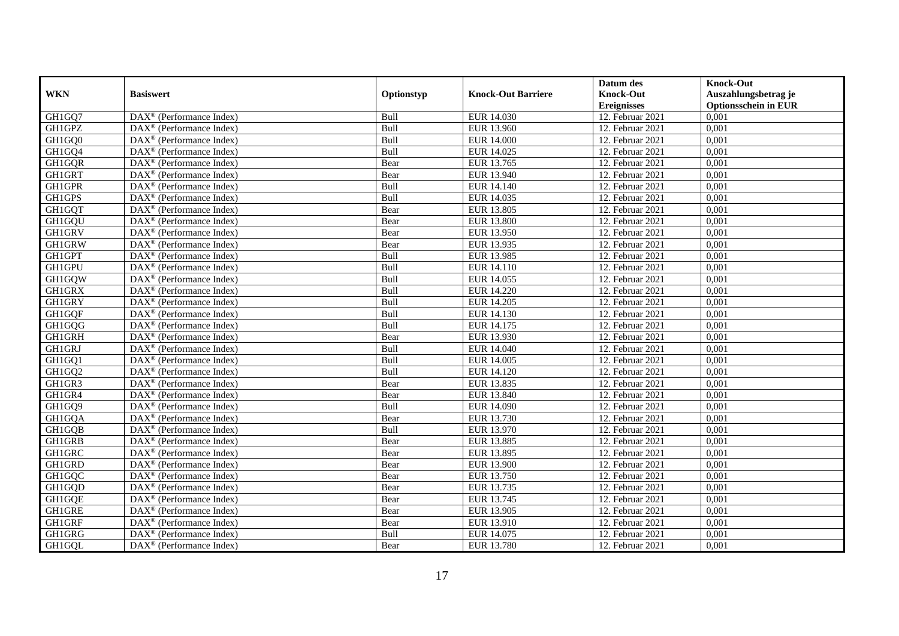|               |                                                              |            |                           | Datum des          | <b>Knock-Out</b>            |
|---------------|--------------------------------------------------------------|------------|---------------------------|--------------------|-----------------------------|
| <b>WKN</b>    | <b>Basiswert</b>                                             | Optionstyp | <b>Knock-Out Barriere</b> | <b>Knock-Out</b>   | Auszahlungsbetrag je        |
|               |                                                              |            |                           | <b>Ereignisses</b> | <b>Optionsschein in EUR</b> |
| GH1GQ7        | DAX <sup>®</sup> (Performance Index)                         | Bull       | EUR 14.030                | 12. Februar 2021   | 0,001                       |
| GH1GPZ        | $DAX^{\circledR}$ (Performance Index)                        | Bull       | EUR 13.960                | 12. Februar 2021   | 0,001                       |
| GH1GQ0        | DAX <sup>®</sup> (Performance Index)                         | Bull       | <b>EUR 14.000</b>         | 12. Februar 2021   | 0,001                       |
| GH1GQ4        | $\text{DAX}^{\otimes}$ (Performance Index)                   | Bull       | EUR 14.025                | 12. Februar 2021   | 0,001                       |
| GH1GQR        | DAX <sup>®</sup> (Performance Index)                         | Bear       | EUR 13.765                | 12. Februar 2021   | 0,001                       |
| GH1GRT        | $\text{DAX}^{\textcircled{n}}$ (Performance Index)           | Bear       | EUR 13.940                | 12. Februar 2021   | 0,001                       |
| GH1GPR        | $\text{DAX}^{\textcircled{n}}$ (Performance Index)           | Bull       | EUR 14.140                | 12. Februar 2021   | 0,001                       |
| GH1GPS        | $\text{DAX}^{\textcircled{}}$ (Performance Index)            | Bull       | EUR 14.035                | 12. Februar 2021   | 0,001                       |
| <b>GH1GQT</b> | $\text{DAX}^{\textcircled{D}}$ (Performance Index)           | Bear       | <b>EUR 13.805</b>         | 12. Februar 2021   | 0,001                       |
| GH1GQU        | $DAX^{\otimes}$ (Performance Index)                          | Bear       | <b>EUR 13.800</b>         | 12. Februar 2021   | 0,001                       |
| <b>GH1GRV</b> | $\overline{\text{DAX}}^{\textcircled{}}$ (Performance Index) | Bear       | EUR 13.950                | 12. Februar 2021   | 0,001                       |
| <b>GH1GRW</b> | $\overline{\text{DAX}^{\otimes}}$ (Performance Index)        | Bear       | EUR 13.935                | 12. Februar 2021   | 0,001                       |
| GH1GPT        | $\text{DAX}^{\textcircled{n}}$ (Performance Index)           | Bull       | EUR 13.985                | 12. Februar 2021   | 0,001                       |
| GH1GPU        | DAX <sup>®</sup> (Performance Index)                         | Bull       | EUR 14.110                | 12. Februar 2021   | 0,001                       |
| GH1GQW        | DAX <sup>®</sup> (Performance Index)                         | Bull       | EUR 14.055                | 12. Februar 2021   | 0,001                       |
| GH1GRX        | DAX <sup>®</sup> (Performance Index)                         | Bull       | <b>EUR 14.220</b>         | 12. Februar 2021   | 0,001                       |
| GH1GRY        | DAX <sup>®</sup> (Performance Index)                         | Bull       | EUR 14.205                | 12. Februar 2021   | 0,001                       |
| GH1GQF        | $\overline{\text{DAX}}^{\textcirc}$ (Performance Index)      | Bull       | EUR 14.130                | 12. Februar 2021   | 0,001                       |
| GH1GQG        | DAX <sup>®</sup> (Performance Index)                         | Bull       | EUR 14.175                | 12. Februar 2021   | 0,001                       |
| GH1GRH        | DAX <sup>®</sup> (Performance Index)                         | Bear       | EUR 13.930                | 12. Februar 2021   | 0,001                       |
| <b>GH1GRJ</b> | DAX <sup>®</sup> (Performance Index)                         | Bull       | EUR 14.040                | 12. Februar 2021   | 0,001                       |
| GH1GQ1        | $\overline{\text{DAX}^{\otimes}}$ (Performance Index)        | Bull       | <b>EUR 14.005</b>         | 12. Februar 2021   | 0,001                       |
| GH1GQ2        | $\text{DAX}^{\circledast}$ (Performance Index)               | Bull       | EUR 14.120                | $12.$ Februar 2021 | 0,001                       |
| GH1GR3        | DAX <sup>®</sup> (Performance Index)                         | Bear       | EUR 13.835                | 12. Februar 2021   | 0,001                       |
| GH1GR4        | DAX <sup>®</sup> (Performance Index)                         | Bear       | EUR 13.840                | 12. Februar 2021   | 0,001                       |
| GH1GQ9        | $\text{DAX}^{\otimes}$ (Performance Index)                   | Bull       | EUR 14.090                | 12. Februar 2021   | 0,001                       |
| GH1GQA        | $\text{DAX}^{\circledast}$ (Performance Index)               | Bear       | EUR 13.730                | 12. Februar 2021   | 0,001                       |
| GH1GQB        | $\text{DAX}^{\textcircled{D}}$ (Performance Index)           | Bull       | EUR 13.970                | $12.$ Februar 2021 | 0,001                       |
| <b>GH1GRB</b> | $\text{DAX}^{\textcircled{D}}$ (Performance Index)           | Bear       | EUR 13.885                | 12. Februar 2021   | 0,001                       |
| <b>GH1GRC</b> | $DAX^{\otimes}$ (Performance Index)                          | Bear       | EUR 13.895                | 12. Februar 2021   | 0,001                       |
| GH1GRD        | DAX <sup>®</sup> (Performance Index)                         | Bear       | EUR 13.900                | 12. Februar 2021   | 0,001                       |
| GH1GQC        | DAX <sup>®</sup> (Performance Index)                         | Bear       | EUR 13.750                | 12. Februar 2021   | 0,001                       |
| GH1GQD        | $\overline{\text{DAX}^{\otimes}}$ (Performance Index)        | Bear       | EUR 13.735                | 12. Februar 2021   | 0,001                       |
| GH1GQE        | DAX <sup>®</sup> (Performance Index)                         | Bear       | EUR 13.745                | $12.$ Februar 2021 | 0,001                       |
| GH1GRE        | $\text{DAX}^{\textcircled{n}}$ (Performance Index)           | Bear       | EUR 13.905                | 12. Februar 2021   | 0,001                       |
| GH1GRF        | $\text{DAX}^{\textcircled{n}}$ (Performance Index)           | Bear       | EUR 13.910                | 12. Februar 2021   | 0,001                       |
| GH1GRG        | $\text{DAX}^{\otimes}$ (Performance Index)                   | Bull       | EUR 14.075                | 12. Februar 2021   | 0,001                       |
| GH1GQL        | $\overline{\text{DAX}}^{\textcirc}$ (Performance Index)      | Bear       | EUR 13.780                | 12. Februar 2021   | 0,001                       |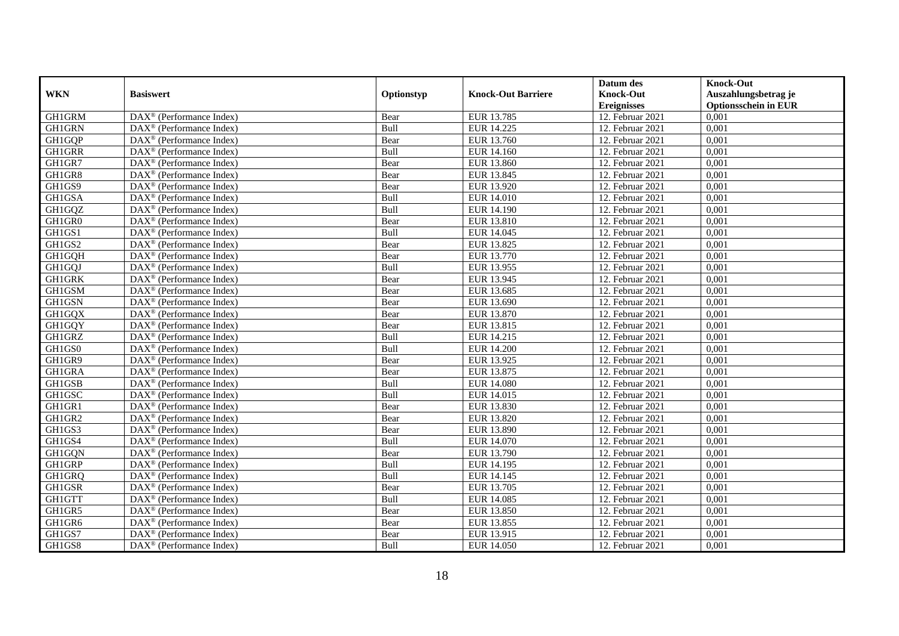|               |                                                              |            |                           | Datum des          | <b>Knock-Out</b>            |
|---------------|--------------------------------------------------------------|------------|---------------------------|--------------------|-----------------------------|
| <b>WKN</b>    | <b>Basiswert</b>                                             | Optionstyp | <b>Knock-Out Barriere</b> | <b>Knock-Out</b>   | Auszahlungsbetrag je        |
|               |                                                              |            |                           | <b>Ereignisses</b> | <b>Optionsschein in EUR</b> |
| GH1GRM        | DAX <sup>®</sup> (Performance Index)                         | Bear       | EUR 13.785                | 12. Februar 2021   | 0,001                       |
| GH1GRN        | $\text{DAX}^{\textcircled{p}}$ (Performance Index)           | Bull       | EUR 14.225                | 12. Februar 2021   | 0,001                       |
| GH1GQP        | DAX <sup>®</sup> (Performance Index)                         | Bear       | EUR 13.760                | 12. Februar 2021   | 0,001                       |
| GH1GRR        | $\text{DAX}^{\otimes}$ (Performance Index)                   | Bull       | EUR 14.160                | 12. Februar 2021   | 0,001                       |
| GH1GR7        | DAX <sup>®</sup> (Performance Index)                         | Bear       | EUR 13.860                | 12. Februar 2021   | 0,001                       |
| GH1GR8        | $\text{DAX}^{\textcircled{n}}$ (Performance Index)           | Bear       | EUR 13.845                | 12. Februar 2021   | 0,001                       |
| GH1GS9        | $\text{DAX}^{\textcircled{n}}$ (Performance Index)           | Bear       | EUR 13.920                | 12. Februar 2021   | 0,001                       |
| GH1GSA        | $DAX^{\circledast}$ (Performance Index)                      | Bull       | <b>EUR 14.010</b>         | 12. Februar 2021   | 0,001                       |
| GH1GQZ        | $\text{DAX}^{\textcircled{p}}$ (Performance Index)           | Bull       | EUR 14.190                | 12. Februar 2021   | 0,001                       |
| GH1GR0        | $DAX^{\otimes}$ (Performance Index)                          | Bear       | EUR 13.810                | 12. Februar 2021   | 0,001                       |
| GH1GS1        | $\overline{\text{DAX}}^{\textcircled{}}$ (Performance Index) | Bull       | EUR 14.045                | 12. Februar 2021   | 0,001                       |
| GH1GS2        | $\overline{\text{DAX}^{\otimes}}$ (Performance Index)        | Bear       | EUR 13.825                | 12. Februar 2021   | 0,001                       |
| GH1GQH        | $\text{DAX}^{\textcircled{n}}$ (Performance Index)           | Bear       | EUR 13.770                | 12. Februar 2021   | 0,001                       |
| GH1GQJ        | DAX <sup>®</sup> (Performance Index)                         | Bull       | EUR 13.955                | 12. Februar 2021   | 0,001                       |
| GH1GRK        | DAX <sup>®</sup> (Performance Index)                         | Bear       | EUR 13.945                | 12. Februar 2021   | 0,001                       |
| GH1GSM        | DAX <sup>®</sup> (Performance Index)                         | Bear       | EUR 13.685                | 12. Februar 2021   | 0,001                       |
| GH1GSN        | DAX <sup>®</sup> (Performance Index)                         | Bear       | EUR 13.690                | 12. Februar 2021   | 0,001                       |
| GH1GQX        | $\overline{\text{DAX}}^{\textcirc}$ (Performance Index)      | Bear       | EUR 13.870                | 12. Februar 2021   | 0,001                       |
| GH1GQY        | DAX <sup>®</sup> (Performance Index)                         | Bear       | EUR 13.815                | 12. Februar 2021   | 0,001                       |
| GH1GRZ        | DAX <sup>®</sup> (Performance Index)                         | Bull       | EUR 14.215                | 12. Februar 2021   | 0,001                       |
| GH1GS0        | DAX <sup>®</sup> (Performance Index)                         | Bull       | <b>EUR 14.200</b>         | 12. Februar 2021   | 0,001                       |
| GH1GR9        | $\overline{\text{DAX}^{\otimes}}$ (Performance Index)        | Bear       | EUR 13.925                | 12. Februar 2021   | 0,001                       |
| GH1GRA        | $\text{DAX}^{\circledast}$ (Performance Index)               | Bear       | EUR 13.875                | $12.$ Februar 2021 | 0,001                       |
| GH1GSB        | DAX <sup>®</sup> (Performance Index)                         | Bull       | <b>EUR 14.080</b>         | 12. Februar 2021   | 0,001                       |
| GH1GSC        | DAX <sup>®</sup> (Performance Index)                         | Bull       | EUR 14.015                | 12. Februar 2021   | 0,001                       |
| GH1GR1        | $\text{DAX}^{\otimes}$ (Performance Index)                   | Bear       | EUR 13.830                | 12. Februar 2021   | 0,001                       |
| GH1GR2        | $\text{DAX}^{\circledast}$ (Performance Index)               | Bear       | EUR 13.820                | 12. Februar 2021   | 0,001                       |
| GH1GS3        | $\text{DAX}^{\textcircled{p}}$ (Performance Index)           | Bear       | <b>EUR 13.890</b>         | $12.$ Februar 2021 | 0,001                       |
| GH1GS4        | $\text{DAX}^{\textcircled{p}}$ (Performance Index)           | Bull       | EUR 14.070                | 12. Februar 2021   | 0,001                       |
| GH1GQN        | $DAX^{\otimes}$ (Performance Index)                          | Bear       | EUR 13.790                | 12. Februar 2021   | 0,001                       |
| GH1GRP        | DAX <sup>®</sup> (Performance Index)                         | Bull       | EUR 14.195                | 12. Februar 2021   | 0,001                       |
| GH1GRQ        | DAX <sup>®</sup> (Performance Index)                         | Bull       | EUR 14.145                | 12. Februar 2021   | 0,001                       |
| GH1GSR        | $\overline{\text{DAX}^{\otimes}}$ (Performance Index)        | Bear       | EUR 13.705                | 12. Februar 2021   | 0,001                       |
| <b>GH1GTT</b> | DAX <sup>®</sup> (Performance Index)                         | Bull       | <b>EUR 14.085</b>         | $12.$ Februar 2021 | 0,001                       |
| GH1GR5        | $\text{DAX}^{\textcircled{n}}$ (Performance Index)           | Bear       | EUR 13.850                | 12. Februar 2021   | 0,001                       |
| GH1GR6        | $\text{DAX}^{\textcircled{n}}$ (Performance Index)           | Bear       | EUR 13.855                | 12. Februar 2021   | 0,001                       |
| GH1GS7        | $\text{DAX}^{\otimes}$ (Performance Index)                   | Bear       | EUR 13.915                | 12. Februar 2021   | 0,001                       |
| GH1GS8        | $\overline{\text{DAX}}^{\textcirc}$ (Performance Index)      | Bull       | <b>EUR 14.050</b>         | 12. Februar 2021   | 0,001                       |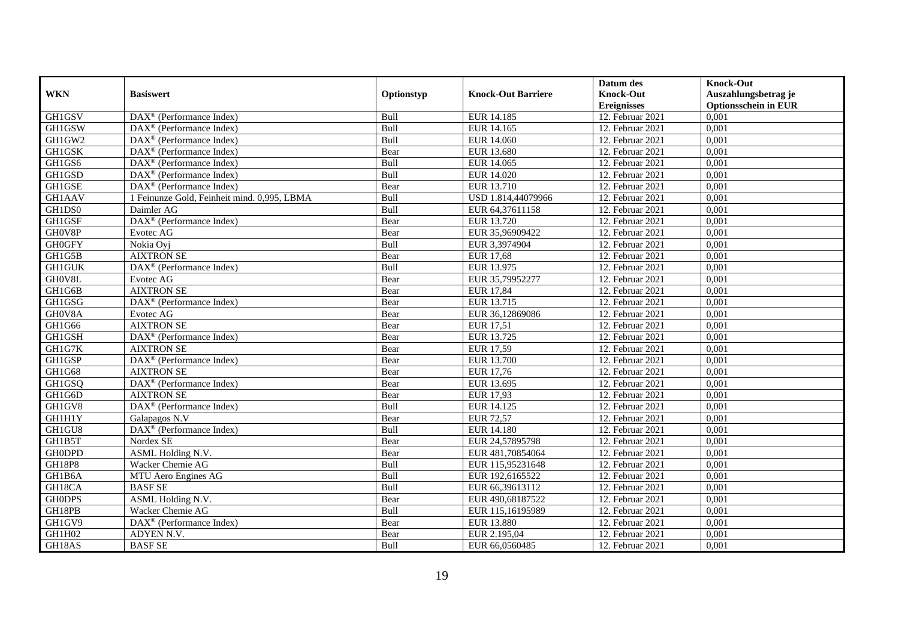|               |                                                       |            |                           | Datum des          | <b>Knock-Out</b>            |
|---------------|-------------------------------------------------------|------------|---------------------------|--------------------|-----------------------------|
| <b>WKN</b>    | <b>Basiswert</b>                                      | Optionstyp | <b>Knock-Out Barriere</b> | <b>Knock-Out</b>   | Auszahlungsbetrag je        |
|               |                                                       |            |                           | <b>Ereignisses</b> | <b>Optionsschein in EUR</b> |
| GH1GSV        | $\text{DAX}^{\textcircled{p}}$ (Performance Index)    | Bull       | EUR 14.185                | 12. Februar 2021   | 0,001                       |
| GH1GSW        | $\text{DAX}^{\textcircled{p}}$ (Performance Index)    | Bull       | EUR 14.165                | 12. Februar 2021   | 0,001                       |
| GH1GW2        | DAX <sup>®</sup> (Performance Index)                  | Bull       | EUR 14.060                | 12. Februar 2021   | 0,001                       |
| GH1GSK        | $\text{DAX}^{\circledast}$ (Performance Index)        | Bear       | EUR 13.680                | 12. Februar 2021   | 0,001                       |
| GH1GS6        | DAX <sup>®</sup> (Performance Index)                  | Bull       | EUR 14.065                | 12. Februar 2021   | 0,001                       |
| GH1GSD        | DAX <sup>®</sup> (Performance Index)                  | Bull       | EUR 14.020                | 12. Februar 2021   | 0,001                       |
| GH1GSE        | DAX <sup>®</sup> (Performance Index)                  | Bear       | EUR 13.710                | 12. Februar 2021   | 0,001                       |
| <b>GH1AAV</b> | 1 Feinunze Gold, Feinheit mind. 0,995, LBMA           | Bull       | USD 1.814,44079966        | 12. Februar 2021   | 0,001                       |
| GH1DS0        | Daimler AG                                            | Bull       | EUR 64,37611158           | 12. Februar 2021   | 0,001                       |
| <b>GH1GSF</b> | DAX <sup>®</sup> (Performance Index)                  | Bear       | EUR 13.720                | 12. Februar 2021   | 0,001                       |
| GH0V8P        | Evotec AG                                             | Bear       | EUR 35,96909422           | 12. Februar 2021   | 0,001                       |
| <b>GH0GFY</b> | Nokia Oyi                                             | Bull       | EUR 3,3974904             | 12. Februar 2021   | 0,001                       |
| GH1G5B        | <b>AIXTRON SE</b>                                     | Bear       | EUR 17,68                 | 12. Februar 2021   | 0,001                       |
| <b>GH1GUK</b> | DAX <sup>®</sup> (Performance Index)                  | Bull       | EUR 13.975                | 12. Februar 2021   | 0,001                       |
| GH0V8L        | Evotec AG                                             | Bear       | EUR 35,79952277           | 12. Februar 2021   | 0,001                       |
| GH1G6B        | <b>AIXTRON SE</b>                                     | Bear       | <b>EUR 17,84</b>          | 12. Februar 2021   | 0,001                       |
| GH1GSG        | DAX <sup>®</sup> (Performance Index)                  | Bear       | EUR 13.715                | 12. Februar 2021   | 0,001                       |
| GH0V8A        | Evotec AG                                             | Bear       | EUR 36.12869086           | 12. Februar 2021   | 0,001                       |
| GH1G66        | <b>AIXTRON SE</b>                                     | Bear       | EUR 17,51                 | 12. Februar 2021   | 0,001                       |
| GH1GSH        | DAX <sup>®</sup> (Performance Index)                  | Bear       | EUR 13.725                | 12. Februar 2021   | 0,001                       |
| GH1G7K        | <b>AIXTRON SE</b>                                     | Bear       | EUR 17,59                 | 12. Februar 2021   | 0,001                       |
| GH1GSP        | DAX <sup>®</sup> (Performance Index)                  | Bear       | <b>EUR 13.700</b>         | 12. Februar 2021   | 0,001                       |
| GH1G68        | <b>AIXTRON SE</b>                                     | Bear       | EUR 17,76                 | $12.$ Februar 2021 | 0,001                       |
| GH1GSQ        | DAX <sup>®</sup> (Performance Index)                  | Bear       | EUR 13.695                | 12. Februar 2021   | 0,001                       |
| GH1G6D        | <b>AIXTRON SE</b>                                     | Bear       | EUR 17,93                 | 12. Februar 2021   | 0,001                       |
| GH1GV8        | DAX <sup>®</sup> (Performance Index)                  | Bull       | EUR 14.125                | 12. Februar 2021   | 0,001                       |
| GH1H1Y        | Galapagos N.V                                         | Bear       | <b>EUR 72,57</b>          | 12. Februar 2021   | 0,001                       |
| GH1GU8        | $\overline{\text{DAX}^{\otimes}}$ (Performance Index) | Bull       | <b>EUR 14.180</b>         | 12. Februar 2021   | 0,001                       |
| GH1B5T        | Nordex SE                                             | Bear       | EUR 24,57895798           | 12. Februar 2021   | 0,001                       |
| <b>GH0DPD</b> | <b>ASML Holding N.V.</b>                              | Bear       | EUR 481,70854064          | 12. Februar 2021   | 0,001                       |
| <b>GH18P8</b> | Wacker Chemie AG                                      | Bull       | EUR 115,95231648          | 12. Februar 2021   | 0,001                       |
| GH1B6A        | MTU Aero Engines AG                                   | Bull       | EUR 192,6165522           | 12. Februar 2021   | 0,001                       |
| GH18CA        | <b>BASF SE</b>                                        | Bull       | EUR 66,39613112           | 12. Februar 2021   | 0,001                       |
| <b>GH0DPS</b> | <b>ASML Holding N.V.</b>                              | Bear       | EUR 490,68187522          | $12.$ Februar 2021 | 0,001                       |
| GH18PB        | Wacker Chemie AG                                      | Bull       | EUR 115,16195989          | 12. Februar 2021   | 0,001                       |
| GH1GV9        | DAX <sup>®</sup> (Performance Index)                  | Bear       | <b>EUR 13.880</b>         | 12. Februar 2021   | 0,001                       |
| GH1H02        | ADYEN N.V.                                            | Bear       | EUR 2.195,04              | 12. Februar 2021   | 0,001                       |
| GH18AS        | <b>BASF SE</b>                                        | Bull       | EUR 66,0560485            | 12. Februar 2021   | 0,001                       |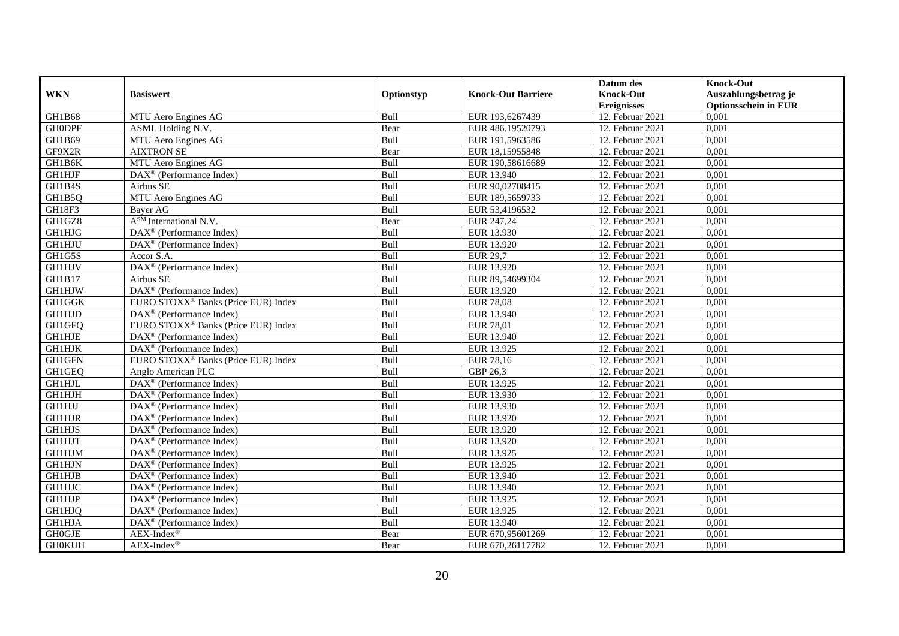|                         |                                                             |             |                           | Datum des          | <b>Knock-Out</b>            |
|-------------------------|-------------------------------------------------------------|-------------|---------------------------|--------------------|-----------------------------|
| <b>WKN</b>              | <b>Basiswert</b>                                            | Optionstyp  | <b>Knock-Out Barriere</b> | <b>Knock-Out</b>   | Auszahlungsbetrag je        |
|                         |                                                             |             |                           | <b>Ereignisses</b> | <b>Optionsschein in EUR</b> |
| GH1B68                  | MTU Aero Engines AG                                         | Bull        | EUR 193,6267439           | 12. Februar 2021   | 0,001                       |
| <b>GH0DPF</b>           | ASML Holding N.V.                                           | Bear        | EUR 486,19520793          | 12. Februar 2021   | 0,001                       |
| GH1B69                  | MTU Aero Engines AG                                         | Bull        | EUR 191,5963586           | 12. Februar 2021   | 0,001                       |
| GF9X2R                  | <b>AIXTRON SE</b>                                           | Bear        | EUR 18,15955848           | 12. Februar 2021   | 0,001                       |
| GH1B6K                  | MTU Aero Engines AG                                         | Bull        | EUR 190,58616689          | 12. Februar 2021   | 0,001                       |
| <b>GH1HJF</b>           | $\overline{\text{DAX}^{\otimes}(\text{Performance Index})}$ | Bull        | EUR 13.940                | 12. Februar 2021   | 0,001                       |
| GH1B4S                  | Airbus SE                                                   | Bull        | EUR 90,02708415           | 12. Februar 2021   | 0,001                       |
| GH1B5Q                  | MTU Aero Engines AG                                         | Bull        | EUR 189,5659733           | 12. Februar 2021   | 0,001                       |
| GH18F3                  | Bayer AG                                                    | Bull        | EUR 53,4196532            | 12. Februar 2021   | 0,001                       |
| GH1GZ8                  | A <sup>SM</sup> International N.V.                          | Bear        | EUR 247,24                | 12. Februar 2021   | 0,001                       |
| <b>GH1HJG</b>           | $\text{DAX}^{\textcircled{p}}$ (Performance Index)          | Bull        | EUR 13.930                | 12. Februar 2021   | 0,001                       |
| <b>GH1HJU</b>           | $\text{DAX}^{\textcircled{n}}$ (Performance Index)          | Bull        | EUR 13.920                | 12. Februar 2021   | 0,001                       |
| GH1G5S                  | Accor S.A.                                                  | Bull        | <b>EUR 29,7</b>           | 12. Februar 2021   | 0,001                       |
| <b>GH1HJV</b>           | DAX <sup>®</sup> (Performance Index)                        | <b>Bull</b> | EUR 13.920                | 12. Februar 2021   | 0.001                       |
| GH1B17                  | Airbus SE                                                   | Bull        | EUR 89,54699304           | 12. Februar 2021   | 0,001                       |
| <b>GH1HJW</b>           | DAX <sup>®</sup> (Performance Index)                        | Bull        | EUR 13.920                | 12. Februar 2021   | 0,001                       |
| GH1GGK                  | EURO STOXX <sup>®</sup> Banks (Price EUR) Index             | Bull        | <b>EUR 78,08</b>          | 12. Februar 2021   | 0,001                       |
| GH1HJD                  | $\text{DAX}^{\textcircled{n}}$ (Performance Index)          | Bull        | EUR 13.940                | 12. Februar 2021   | 0,001                       |
| GH1GFQ                  | EURO STOXX <sup>®</sup> Banks (Price EUR) Index             | Bull        | EUR 78,01                 | 12. Februar 2021   | 0,001                       |
| GH1HJE                  | $\text{DAX}^{\otimes}$ (Performance Index)                  | Bull        | EUR 13.940                | 12. Februar 2021   | 0,001                       |
| <b>GH1HJK</b>           | DAX <sup>®</sup> (Performance Index)                        | Bull        | EUR 13.925                | 12. Februar 2021   | 0,001                       |
| <b>GH1GFN</b>           | EURO STOXX <sup>®</sup> Banks (Price EUR) Index             | Bull        | <b>EUR 78,16</b>          | 12. Februar 2021   | 0,001                       |
| GH1GEQ                  | Anglo American PLC                                          | Bull        | GBP 26,3                  | 12. Februar 2021   | 0,001                       |
| <b>GH1HJL</b>           | DAX <sup>®</sup> (Performance Index)                        | Bull        | EUR 13.925                | 12. Februar 2021   | 0,001                       |
| <b>GH1HJH</b>           | DAX <sup>®</sup> (Performance Index)                        | Bull        | EUR 13.930                | 12. Februar 2021   | 0,001                       |
| <b>GH1HJJ</b>           | DAX <sup>®</sup> (Performance Index)                        | Bull        | EUR 13.930                | 12. Februar 2021   | 0,001                       |
| <b>GH1HJR</b>           | DAX <sup>®</sup> (Performance Index)                        | Bull        | EUR 13.920                | 12. Februar 2021   | 0,001                       |
| <b>GH1HJS</b>           | DAX <sup>®</sup> (Performance Index)                        | Bull        | EUR 13.920                | 12. Februar 2021   | 0,001                       |
| GH1HJT                  | $\text{DAX}^{\textcircled{n}}$ (Performance Index)          | Bull        | EUR 13.920                | 12. Februar 2021   | 0,001                       |
| GH1HJM                  | $\text{DAX}^{\textcircled{n}}$ (Performance Index)          | Bull        | EUR 13.925                | 12. Februar 2021   | 0,001                       |
| <b>GH1HJN</b>           | $\text{DAX}^{\textcircled{D}}$ (Performance Index)          | Bull        | EUR 13.925                | 12. Februar 2021   | 0,001                       |
| GH1HJB                  | DAX <sup>®</sup> (Performance Index)                        | Bull        | EUR 13.940                | 12. Februar 2021   | 0,001                       |
| <b>GH1HJC</b>           | $\text{DAX}^{\textcircled{D}}$ (Performance Index)          | Bull        | EUR 13.940                | 12. Februar 2021   | 0,001                       |
| <b>GH1HJP</b>           | $\overline{\text{DAX}}^{\textcirc}$ (Performance Index)     | Bull        | EUR 13.925                | 12. Februar 2021   | 0,001                       |
| GH1HJQ                  | $\text{DAX}^{\textcircled{n}}$ (Performance Index)          | Bull        | EUR 13.925                | 12. Februar 2021   | 0,001                       |
| GH1HJA                  | DAX <sup>®</sup> (Performance Index)                        | Bull        | EUR 13.940                | 12. Februar 2021   | 0,001                       |
| $\operatorname{GH0GJE}$ | $AEX-Index^{\circledR}$                                     | Bear        | EUR 670,95601269          | 12. Februar 2021   | 0,001                       |
| <b>GH0KUH</b>           | $AEX-Index^{\circledR}$                                     | Bear        | EUR 670,26117782          | 12. Februar 2021   | 0,001                       |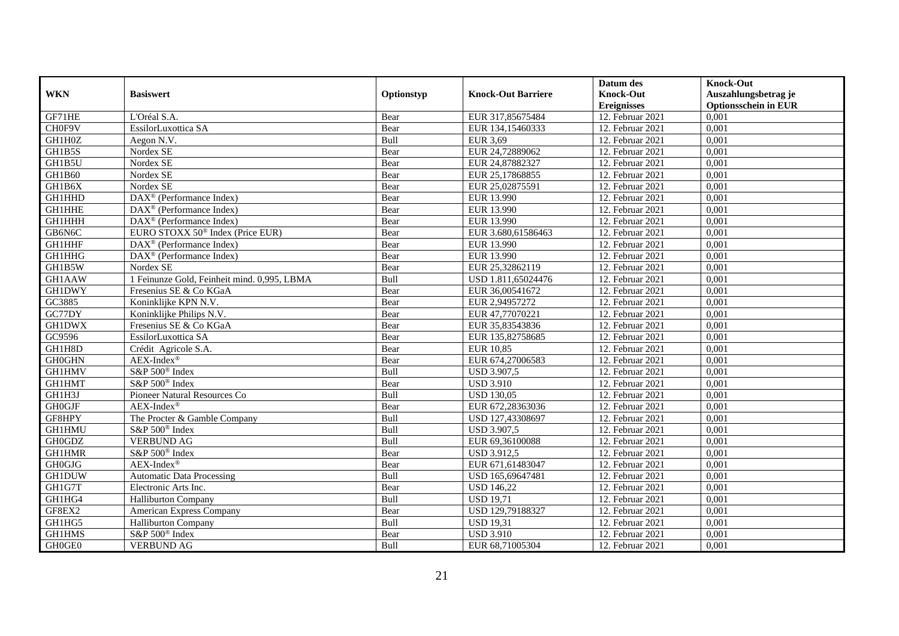|               |                                                    |            |                           | Datum des          | <b>Knock-Out</b>            |
|---------------|----------------------------------------------------|------------|---------------------------|--------------------|-----------------------------|
| <b>WKN</b>    | <b>Basiswert</b>                                   | Optionstyp | <b>Knock-Out Barriere</b> | <b>Knock-Out</b>   | Auszahlungsbetrag je        |
|               |                                                    |            |                           | <b>Ereignisses</b> | <b>Optionsschein in EUR</b> |
| GF71HE        | L'Oréal S.A.                                       | Bear       | EUR 317,85675484          | 12. Februar 2021   | 0,001                       |
| CH0F9V        | EssilorLuxottica SA                                | Bear       | EUR 134,15460333          | 12. Februar 2021   | 0,001                       |
| GH1H0Z        | Aegon N.V.                                         | Bull       | EUR 3,69                  | 12. Februar 2021   | 0,001                       |
| GH1B5S        | Nordex SE                                          | Bear       | EUR 24,72889062           | 12. Februar 2021   | 0,001                       |
| GH1B5U        | Nordex SE                                          | Bear       | EUR 24,87882327           | 12. Februar 2021   | 0,001                       |
| GH1B60        | Nordex SE                                          | Bear       | EUR 25,17868855           | 12. Februar 2021   | 0,001                       |
| GH1B6X        | Nordex SE                                          | Bear       | EUR 25,02875591           | 12. Februar 2021   | 0,001                       |
| <b>GH1HHD</b> | $\text{DAX}^{\textcircled{p}}$ (Performance Index) | Bear       | EUR 13.990                | 12. Februar 2021   | 0,001                       |
| <b>GH1HHE</b> | $\text{DAX}^{\textcircled{D}}$ (Performance Index) | Bear       | EUR 13.990                | 12. Februar 2021   | 0,001                       |
| <b>GH1HHH</b> | $\text{DAX}^{\textcircled{D}}$ (Performance Index) | Bear       | EUR 13.990                | 12. Februar 2021   | 0,001                       |
| GB6N6C        | EURO STOXX 50 <sup>®</sup> Index (Price EUR)       | Bear       | EUR 3.680,61586463        | 12. Februar 2021   | 0,001                       |
| <b>GH1HHF</b> | DAX <sup>®</sup> (Performance Index)               | Bear       | EUR 13.990                | 12. Februar 2021   | 0,001                       |
| <b>GH1HHG</b> | $\text{DAX}^{\textcircled{n}}$ (Performance Index) | Bear       | <b>EUR 13.990</b>         | 12. Februar 2021   | 0,001                       |
| GH1B5W        | Nordex SE                                          | Bear       | EUR 25,32862119           | 12. Februar 2021   | 0,001                       |
| GH1AAW        | 1 Feinunze Gold, Feinheit mind. 0,995, LBMA        | Bull       | USD 1.811,65024476        | 12. Februar 2021   | 0,001                       |
| <b>GH1DWY</b> | Fresenius SE & Co KGaA                             | Bear       | EUR 36,00541672           | 12. Februar 2021   | 0,001                       |
| GC3885        | Koninklijke KPN N.V.                               | Bear       | EUR 2,94957272            | 12. Februar 2021   | 0,001                       |
| GC77DY        | Koninklijke Philips N.V.                           | Bear       | EUR 47,77070221           | 12. Februar 2021   | 0,001                       |
| <b>GH1DWX</b> | Fresenius SE & Co KGaA                             | Bear       | EUR 35,83543836           | 12. Februar 2021   | 0,001                       |
| GC9596        | EssilorLuxottica SA                                | Bear       | EUR 135,82758685          | 12. Februar 2021   | 0,001                       |
| GH1H8D        | Crédit Agricole S.A.                               | Bear       | <b>EUR 10,85</b>          | 12. Februar 2021   | 0,001                       |
| <b>GH0GHN</b> | $AEX-Index^{\circledR}$                            | Bear       | EUR 674,27006583          | 12. Februar 2021   | 0,001                       |
| <b>GH1HMV</b> | S&P 500 <sup>®</sup> Index                         | Bull       | <b>USD 3.907,5</b>        | $12.$ Februar 2021 | 0,001                       |
| <b>GH1HMT</b> | S&P 500 <sup>®</sup> Index                         | Bear       | <b>USD 3.910</b>          | 12. Februar 2021   | 0,001                       |
| GH1H3J        | Pioneer Natural Resources Co                       | Bull       | <b>USD 130,05</b>         | 12. Februar 2021   | 0,001                       |
| <b>GH0GJF</b> | $AEX-Index^{\circledR}$                            | Bear       | EUR 672,28363036          | 12. Februar 2021   | 0,001                       |
| GF8HPY        | The Procter & Gamble Company                       | Bull       | USD 127,43308697          | 12. Februar 2021   | 0,001                       |
| <b>GH1HMU</b> | S&P 500 <sup>®</sup> Index                         | Bull       | USD $3.907,5$             | 12. Februar 2021   | 0,001                       |
| <b>GH0GDZ</b> | <b>VERBUND AG</b>                                  | Bull       | EUR 69,36100088           | 12. Februar 2021   | 0,001                       |
| <b>GH1HMR</b> | S&P 500 <sup>®</sup> Index                         | Bear       | <b>USD 3.912,5</b>        | 12. Februar 2021   | 0,001                       |
| <b>GH0GJG</b> | $AEX-Index^{\circledR}$                            | Bear       | EUR 671,61483047          | 12. Februar 2021   | 0,001                       |
| <b>GH1DUW</b> | <b>Automatic Data Processing</b>                   | Bull       | USD 165,69647481          | 12. Februar 2021   | 0,001                       |
| GH1G7T        | Electronic Arts Inc.                               | Bear       | <b>USD 146,22</b>         | 12. Februar 2021   | 0,001                       |
| GH1HG4        | <b>Halliburton Company</b>                         | Bull       | <b>USD 19,71</b>          | $12.$ Februar 2021 | 0,001                       |
| GF8EX2        | American Express Company                           | Bear       | USD 129,79188327          | 12. Februar 2021   | 0,001                       |
| GH1HG5        | <b>Halliburton Company</b>                         | Bull       | <b>USD 19,31</b>          | 12. Februar 2021   | 0,001                       |
| GH1HMS        | S&P 500 <sup>®</sup> Index                         | Bear       | <b>USD 3.910</b>          | 12. Februar 2021   | 0,001                       |
| GH0GE0        | <b>VERBUND AG</b>                                  | Bull       | EUR 68,71005304           | 12. Februar 2021   | 0,001                       |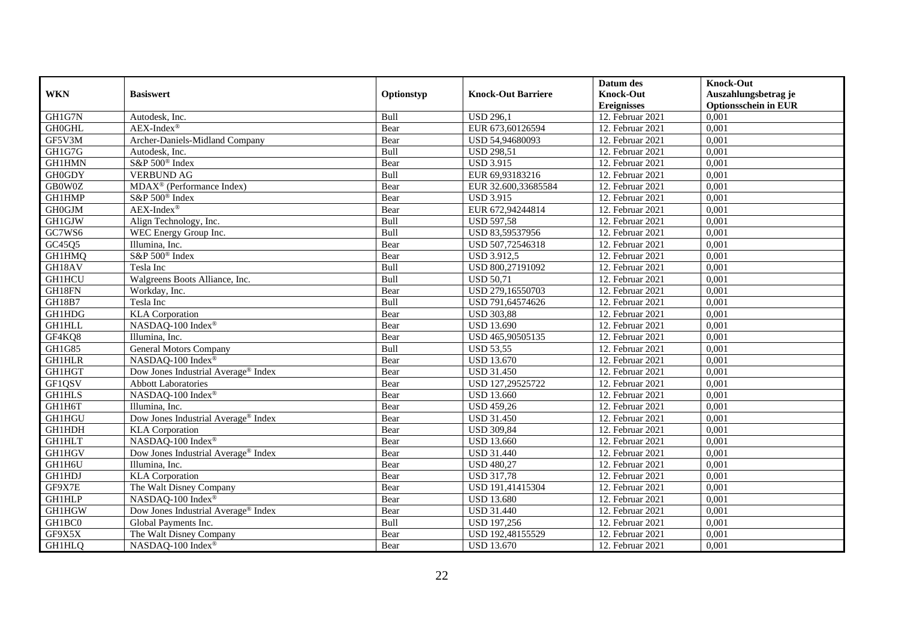|               |                                                 |            |                           | Datum des          | <b>Knock-Out</b>            |
|---------------|-------------------------------------------------|------------|---------------------------|--------------------|-----------------------------|
| <b>WKN</b>    | <b>Basiswert</b>                                | Optionstyp | <b>Knock-Out Barriere</b> | <b>Knock-Out</b>   | Auszahlungsbetrag je        |
|               |                                                 |            |                           | <b>Ereignisses</b> | <b>Optionsschein in EUR</b> |
| GH1G7N        | Autodesk, Inc.                                  | Bull       | <b>USD 296,1</b>          | 12. Februar 2021   | 0,001                       |
| <b>GH0GHL</b> | AEX-Index®                                      | Bear       | EUR 673,60126594          | 12. Februar 2021   | 0,001                       |
| GF5V3M        | Archer-Daniels-Midland Company                  | Bear       | USD 54,94680093           | 12. Februar 2021   | 0,001                       |
| GH1G7G        | Autodesk, Inc.                                  | Bull       | <b>USD 298,51</b>         | 12. Februar 2021   | 0,001                       |
| <b>GH1HMN</b> | S&P 500 <sup>®</sup> Index                      | Bear       | <b>USD 3.915</b>          | 12. Februar 2021   | 0,001                       |
| <b>GH0GDY</b> | <b>VERBUND AG</b>                               | Bull       | EUR 69,93183216           | 12. Februar 2021   | 0,001                       |
| GB0W0Z        | $MDAX^{\circledR}$ (Performance Index)          | Bear       | EUR 32.600,33685584       | 12. Februar 2021   | 0,001                       |
| <b>GH1HMP</b> | S&P 500 <sup>®</sup> Index                      | Bear       | <b>USD 3.915</b>          | 12. Februar 2021   | 0,001                       |
| <b>GH0GJM</b> | $AEX-Index^{\circledR}$                         | Bear       | EUR 672,94244814          | 12. Februar 2021   | 0,001                       |
| <b>GH1GJW</b> | Align Technology, Inc.                          | Bull       | <b>USD 597,58</b>         | 12. Februar 2021   | 0,001                       |
| GC7WS6        | WEC Energy Group Inc.                           | Bull       | USD 83,59537956           | 12. Februar 2021   | 0,001                       |
| GC45Q5        | Illumina, Inc.                                  | Bear       | USD 507,72546318          | 12. Februar 2021   | 0,001                       |
| GH1HMQ        | $S\&P 500^{\circ}$ Index                        | Bear       | <b>USD 3.912,5</b>        | 12. Februar 2021   | 0,001                       |
| GH18AV        | Tesla Inc                                       | Bull       | USD 800,27191092          | 12. Februar 2021   | 0,001                       |
| <b>GH1HCU</b> | Walgreens Boots Alliance, Inc.                  | Bull       | <b>USD 50,71</b>          | 12. Februar 2021   | 0,001                       |
| GH18FN        | Workday, Inc.                                   | Bear       | USD 279,16550703          | 12. Februar 2021   | 0,001                       |
| GH18B7        | Tesla Inc                                       | Bull       | USD 791,64574626          | 12. Februar 2021   | 0,001                       |
| GH1HDG        | <b>KLA</b> Corporation                          | Bear       | <b>USD 303.88</b>         | 12. Februar 2021   | 0,001                       |
| <b>GH1HLL</b> | NASDAQ-100 Index®                               | Bear       | <b>USD 13.690</b>         | 12. Februar 2021   | 0,001                       |
| GF4KQ8        | Illumina, Inc.                                  | Bear       | USD 465,90505135          | 12. Februar 2021   | 0,001                       |
| GH1G85        | <b>General Motors Company</b>                   | Bull       | <b>USD 53,55</b>          | 12. Februar 2021   | 0,001                       |
| <b>GH1HLR</b> | NASDAQ-100 Index®                               | Bear       | <b>USD 13.670</b>         | 12. Februar 2021   | 0,001                       |
| GH1HGT        | Dow Jones Industrial Average® Index             | Bear       | <b>USD 31.450</b>         | 12. Februar 2021   | 0,001                       |
| GF1QSV        | <b>Abbott Laboratories</b>                      | Bear       | USD 127,29525722          | 12. Februar 2021   | 0,001                       |
| <b>GH1HLS</b> | NASDAQ-100 Index®                               | Bear       | <b>USD 13.660</b>         | 12. Februar 2021   | 0,001                       |
| GH1H6T        | Illumina, Inc.                                  | Bear       | <b>USD 459,26</b>         | 12. Februar 2021   | 0,001                       |
| GH1HGU        | Dow Jones Industrial Average <sup>®</sup> Index | Bear       | <b>USD 31.450</b>         | 12. Februar 2021   | 0,001                       |
| GH1HDH        | <b>KLA</b> Corporation                          | Bear       | <b>USD 309,84</b>         | 12. Februar 2021   | 0,001                       |
| <b>GH1HLT</b> | NASDAQ-100 Index®                               | Bear       | <b>USD 13.660</b>         | 12. Februar 2021   | 0,001                       |
| <b>GH1HGV</b> | Dow Jones Industrial Average <sup>®</sup> Index | Bear       | <b>USD 31.440</b>         | 12. Februar 2021   | 0,001                       |
| GH1H6U        | Illumina, Inc.                                  | Bear       | <b>USD 480,27</b>         | 12. Februar 2021   | 0,001                       |
| GH1HDJ        | <b>KLA</b> Corporation                          | Bear       | <b>USD 317,78</b>         | 12. Februar 2021   | 0,001                       |
| GF9X7E        | The Walt Disney Company                         | Bear       | USD 191,41415304          | 12. Februar 2021   | 0,001                       |
| <b>GH1HLP</b> | NASDAQ-100 Index®                               | Bear       | <b>USD 13.680</b>         | 12. Februar 2021   | 0,001                       |
| GH1HGW        | Dow Jones Industrial Average® Index             | Bear       | <b>USD 31.440</b>         | 12. Februar 2021   | 0,001                       |
| GH1BC0        | Global Payments Inc.                            | Bull       | <b>USD 197,256</b>        | 12. Februar 2021   | 0,001                       |
| GF9X5X        | The Walt Disney Company                         | Bear       | USD 192,48155529          | 12. Februar 2021   | 0,001                       |
| <b>GH1HLQ</b> | NASDAQ-100 Index®                               | Bear       | <b>USD 13.670</b>         | 12. Februar 2021   | 0,001                       |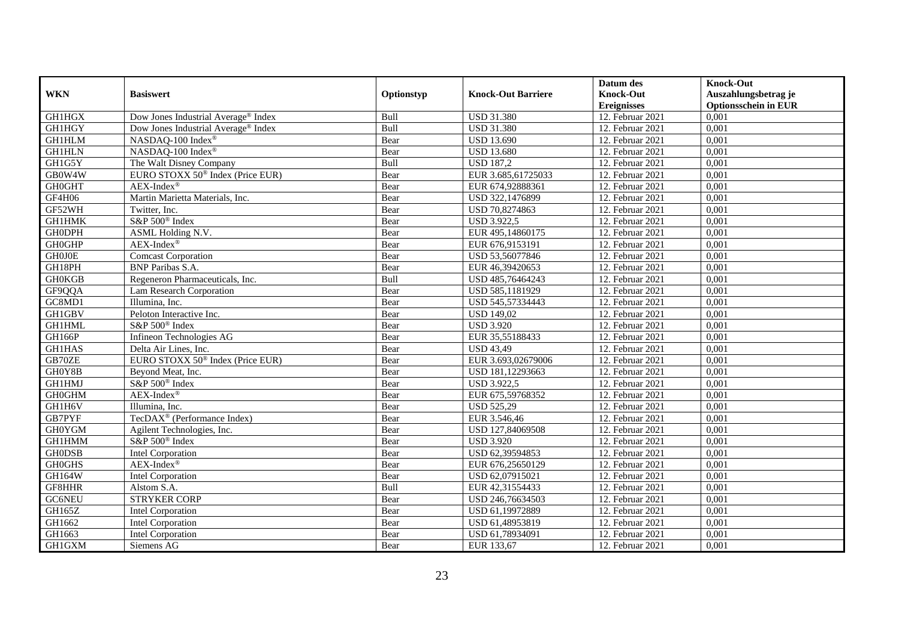|               |                                              |            |                           | Datum des          | <b>Knock-Out</b>            |
|---------------|----------------------------------------------|------------|---------------------------|--------------------|-----------------------------|
| <b>WKN</b>    | <b>Basiswert</b>                             | Optionstyp | <b>Knock-Out Barriere</b> | <b>Knock-Out</b>   | Auszahlungsbetrag je        |
|               |                                              |            |                           | <b>Ereignisses</b> | <b>Optionsschein in EUR</b> |
| GH1HGX        | Dow Jones Industrial Average® Index          | Bull       | <b>USD 31.380</b>         | 12. Februar 2021   | 0,001                       |
| GH1HGY        | Dow Jones Industrial Average® Index          | Bull       | <b>USD 31.380</b>         | 12. Februar 2021   | 0,001                       |
| <b>GH1HLM</b> | NASDAQ-100 Index®                            | Bear       | <b>USD 13.690</b>         | 12. Februar 2021   | 0,001                       |
| <b>GH1HLN</b> | NASDAQ-100 Index®                            | Bear       | <b>USD 13.680</b>         | 12. Februar 2021   | 0,001                       |
| GH1G5Y        | The Walt Disney Company                      | Bull       | <b>USD 187,2</b>          | 12. Februar 2021   | 0,001                       |
| GB0W4W        | EURO STOXX 50 <sup>®</sup> Index (Price EUR) | Bear       | EUR 3.685,61725033        | 12. Februar 2021   | 0,001                       |
| <b>GH0GHT</b> | $AEX-Index^{\circledR}$                      | Bear       | EUR 674,92888361          | 12. Februar 2021   | 0,001                       |
| GF4H06        | Martin Marietta Materials, Inc.              | Bear       | USD 322,1476899           | 12. Februar 2021   | 0,001                       |
| GF52WH        | Twitter, Inc.                                | Bear       | USD 70,8274863            | 12. Februar 2021   | 0,001                       |
| <b>GH1HMK</b> | S&P 500 <sup>®</sup> Index                   | Bear       | <b>USD 3.922,5</b>        | 12. Februar 2021   | 0,001                       |
| <b>GH0DPH</b> | ASML Holding N.V.                            | Bear       | EUR 495,14860175          | 12. Februar 2021   | 0,001                       |
| <b>GH0GHP</b> | $AEX-Index^{\circledR}$                      | Bear       | EUR 676,9153191           | 12. Februar 2021   | 0,001                       |
| <b>GH0J0E</b> | <b>Comcast Corporation</b>                   | Bear       | USD 53,56077846           | 12. Februar 2021   | 0,001                       |
| GH18PH        | <b>BNP</b> Paribas S.A.                      | Bear       | EUR 46,39420653           | 12. Februar 2021   | 0.001                       |
| <b>GH0KGB</b> | Regeneron Pharmaceuticals, Inc.              | Bull       | USD 485,76464243          | 12. Februar 2021   | 0,001                       |
| GF9QQA        | Lam Research Corporation                     | Bear       | USD 585,1181929           | 12. Februar 2021   | 0,001                       |
| GC8MD1        | Illumina, Inc.                               | Bear       | USD 545,57334443          | 12. Februar 2021   | 0,001                       |
| GH1GBV        | Peloton Interactive Inc.                     | Bear       | <b>USD 149,02</b>         | $12.$ Februar 2021 | 0,001                       |
| <b>GH1HML</b> | S&P 500 <sup>®</sup> Index                   | Bear       | <b>USD 3.920</b>          | 12. Februar 2021   | 0,001                       |
| GH166P        | Infineon Technologies AG                     | Bear       | EUR 35,55188433           | 12. Februar 2021   | 0,001                       |
| <b>GH1HAS</b> | Delta Air Lines, Inc.                        | Bear       | <b>USD 43,49</b>          | 12. Februar 2021   | 0,001                       |
| GB70ZE        | EURO STOXX 50 <sup>®</sup> Index (Price EUR) | Bear       | EUR 3.693,02679006        | 12. Februar 2021   | 0,001                       |
| GH0Y8B        | Beyond Meat, Inc.                            | Bear       | USD 181,12293663          | 12. Februar 2021   | 0,001                       |
| <b>GH1HMJ</b> | S&P 500 <sup>®</sup> Index                   | Bear       | <b>USD 3.922,5</b>        | 12. Februar 2021   | 0,001                       |
| <b>GH0GHM</b> | $AEX-Index^{\circledR}$                      | Bear       | EUR 675,59768352          | 12. Februar 2021   | 0,001                       |
| GH1H6V        | Illumina, Inc.                               | Bear       | <b>USD 525,29</b>         | 12. Februar 2021   | 0,001                       |
| <b>GB7PYF</b> | TecDAX <sup>®</sup> (Performance Index)      | Bear       | EUR 3.546,46              | 12. Februar 2021   | 0,001                       |
| <b>GH0YGM</b> | Agilent Technologies, Inc.                   | Bear       | USD 127,84069508          | 12. Februar 2021   | 0,001                       |
| GH1HMM        | S&P 500 <sup>®</sup> Index                   | Bear       | <b>USD 3.920</b>          | 12. Februar 2021   | 0,001                       |
| <b>GH0DSB</b> | Intel Corporation                            | Bear       | USD 62,39594853           | 12. Februar 2021   | 0,001                       |
| <b>GH0GHS</b> | $AEX-Index^{\circledR}$                      | Bear       | EUR 676,25650129          | 12. Februar 2021   | 0,001                       |
| GH164W        | Intel Corporation                            | Bear       | USD 62,07915021           | 12. Februar 2021   | 0,001                       |
| GF8HHR        | Alstom S.A.                                  | Bull       | EUR 42,31554433           | 12. Februar 2021   | 0,001                       |
| <b>GC6NEU</b> | <b>STRYKER CORP</b>                          | Bear       | USD 246,76634503          | 12. Februar 2021   | 0,001                       |
| GH165Z        | Intel Corporation                            | Bear       | USD 61,19972889           | 12. Februar 2021   | 0,001                       |
| GH1662        | Intel Corporation                            | Bear       | USD 61,48953819           | 12. Februar 2021   | 0,001                       |
| GH1663        | <b>Intel Corporation</b>                     | Bear       | USD 61,78934091           | 12. Februar 2021   | 0,001                       |
| GH1GXM        | Siemens AG                                   | Bear       | EUR 133,67                | 12. Februar 2021   | 0,001                       |